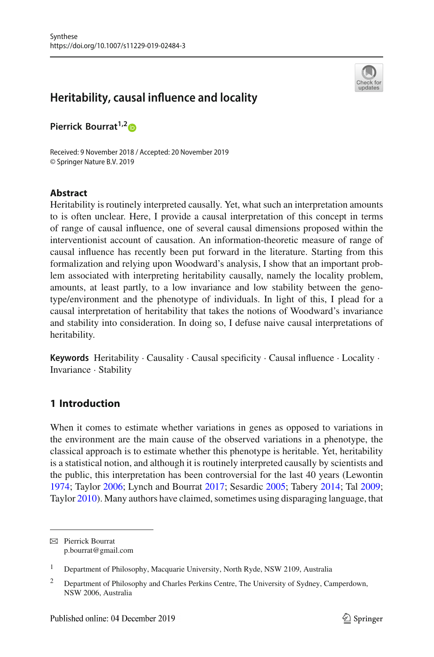

# **Heritability, causal influence and locality**

**Pierrick Bourrat1,[2](http://orcid.org/0000-0002-4465-6015)**

Received: 9 November 2018 / Accepted: 20 November 2019 © Springer Nature B.V. 2019

#### **Abstract**

Heritability is routinely interpreted causally. Yet, what such an interpretation amounts to is often unclear. Here, I provide a causal interpretation of this concept in terms of range of causal influence, one of several causal dimensions proposed within the interventionist account of causation. An information-theoretic measure of range of causal influence has recently been put forward in the literature. Starting from this formalization and relying upon Woodward's analysis, I show that an important problem associated with interpreting heritability causally, namely the locality problem, amounts, at least partly, to a low invariance and low stability between the genotype/environment and the phenotype of individuals. In light of this, I plead for a causal interpretation of heritability that takes the notions of Woodward's invariance and stability into consideration. In doing so, I defuse naive causal interpretations of heritability.

**Keywords** Heritability · Causality · Causal specificity · Causal influence · Locality · Invariance · Stability

# **1 Introduction**

When it comes to estimate whether variations in genes as opposed to variations in the environment are the main cause of the observed variations in a phenotype, the classical approach is to estimate whether this phenotype is heritable. Yet, heritability is a statistical notion, and although it is routinely interpreted causally by scientists and the public, this interpretation has been controversial for the last 40 years (Lewonti[n](#page-24-0) [1974;](#page-24-0) Taylo[r](#page-25-0) [2006](#page-25-0); Lynch and Bourra[t](#page-24-1) [2017;](#page-24-1) Sesardi[c](#page-25-1) [2005](#page-25-1); Taber[y](#page-25-2) [2014;](#page-25-2) Ta[l](#page-25-3) [2009](#page-25-3); Taylo[r](#page-25-4) [2010](#page-25-4)). Many authors have claimed, sometimes using disparaging language, that

 $⊠$  Pierrick Bourrat p.bourrat@gmail.com

<sup>&</sup>lt;sup>1</sup> Department of Philosophy, Macquarie University, North Ryde, NSW 2109, Australia

<sup>&</sup>lt;sup>2</sup> Department of Philosophy and Charles Perkins Centre, The University of Sydney, Camperdown, NSW 2006, Australia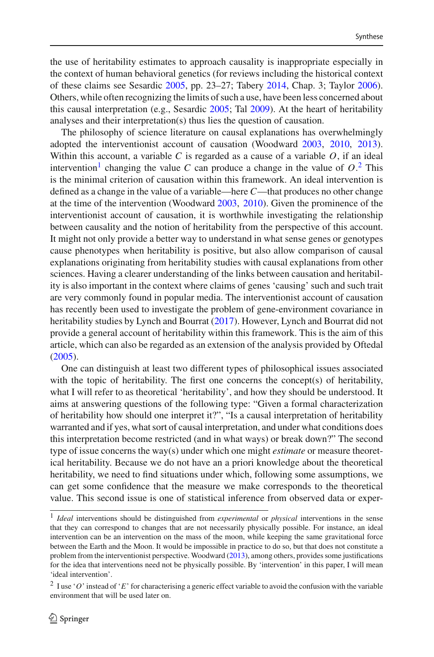the use of heritability estimates to approach causality is inappropriate especially in the context of human behavioral genetics (for reviews including the historical context of these claims see Sesardi[c](#page-25-1) [2005,](#page-25-1) pp. 23–27; Taber[y](#page-25-2) [2014](#page-25-2), Chap. 3; Taylo[r](#page-25-0) [2006](#page-25-0)). Others, while often recognizing the limits of such a use, have been less concerned about this causal interpretation (e.g., Sesardi[c](#page-25-1) [2005](#page-25-1); Ta[l](#page-25-3) [2009](#page-25-3)). At the heart of heritability analyses and their interpretation(s) thus lies the question of causation.

The philosophy of science literature on causal explanations has overwhelmingly adopted the interventionist account of causation (Woodwar[d](#page-26-0) [2003](#page-26-0), [2010](#page-26-1), [2013](#page-26-2)). Within this account, a variable  $C$  is regarded as a cause of a variable  $O$ , if an ideal intervention<sup>1</sup> changing the value *C* can produce a change in the value of  $O<sup>2</sup>$  $O<sup>2</sup>$  $O<sup>2</sup>$ . This is the minimal criterion of causation within this framework. An ideal intervention is defined as a change in the value of a variable—here *C*—that produces no other change at the time of the intervention (Woodwar[d](#page-26-0) [2003](#page-26-0), [2010](#page-26-1)). Given the prominence of the interventionist account of causation, it is worthwhile investigating the relationship between causality and the notion of heritability from the perspective of this account. It might not only provide a better way to understand in what sense genes or genotypes cause phenotypes when heritability is positive, but also allow comparison of causal explanations originating from heritability studies with causal explanations from other sciences. Having a clearer understanding of the links between causation and heritability is also important in the context where claims of genes 'causing' such and such trait are very commonly found in popular media. The interventionist account of causation has recently been used to investigate the problem of gene-environment covariance in heritability studies by Lynch and Bourra[t](#page-24-1) [\(2017](#page-24-1)). However, Lynch and Bourrat did not provide a general account of heritability within this framework. This is the aim of this article, which can also be regarded as an extension of the analysis provided by Ofteda[l](#page-25-5) [\(2005\)](#page-25-5).

One can distinguish at least two different types of philosophical issues associated with the topic of heritability. The first one concerns the concept(s) of heritability, what I will refer to as theoretical 'heritability', and how they should be understood. It aims at answering questions of the following type: "Given a formal characterization of heritability how should one interpret it?", "Is a causal interpretation of heritability warranted and if yes, what sort of causal interpretation, and under what conditions does this interpretation become restricted (and in what ways) or break down?" The second type of issue concerns the way(s) under which one might *estimate* or measure theoretical heritability. Because we do not have an a priori knowledge about the theoretical heritability, we need to find situations under which, following some assumptions, we can get some confidence that the measure we make corresponds to the theoretical value. This second issue is one of statistical inference from observed data or exper-

<span id="page-1-0"></span><sup>1</sup> *Ideal* interventions should be distinguished from *experimental* or *physical* interventions in the sense that they can correspond to changes that are not necessarily physically possible. For instance, an ideal intervention can be an intervention on the mass of the moon, while keeping the same gravitational force between the Earth and the Moon. It would be impossible in practice to do so, but that does not constitute a problem from the interventionist perspective. Woodwar[d](#page-26-2) [\(2013](#page-26-2)), among others, provides some justifications for the idea that interventions need not be physically possible. By 'intervention' in this paper, I will mean 'ideal intervention'.

<span id="page-1-1"></span><sup>2</sup> I use '*O*' instead of '*E*' for characterising a generic effect variable to avoid the confusion with the variable environment that will be used later on.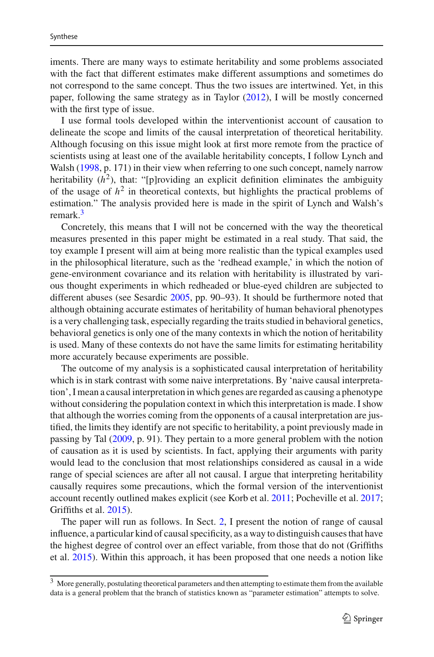iments. There are many ways to estimate heritability and some problems associated with the fact that different estimates make different assumptions and sometimes do not correspond to the same concept. Thus the two issues are intertwined. Yet, in this paper, following the same strategy as in Taylo[r](#page-25-6) [\(2012](#page-25-6)), I will be mostly concerned with the first type of issue.

I use formal tools developed within the interventionist account of causation to delineate the scope and limits of the causal interpretation of theoretical heritability. Although focusing on this issue might look at first more remote from the practice of scientists using at least one of the available heritability concepts, I follow Lynch and Walsh [\(1998,](#page-25-7) p. 171) in their view when referring to one such concept, namely narrow heritability  $(h^2)$ , that: "[p]roviding an explicit definition eliminates the ambiguity of the usage of  $h^2$  in theoretical contexts, but highlights the practical problems of estimation." The analysis provided here is made in the spirit of Lynch and Walsh's remark.[3](#page-2-0)

Concretely, this means that I will not be concerned with the way the theoretical measures presented in this paper might be estimated in a real study. That said, the toy example I present will aim at being more realistic than the typical examples used in the philosophical literature, such as the 'redhead example,' in which the notion of gene-environment covariance and its relation with heritability is illustrated by various thought experiments in which redheaded or blue-eyed children are subjected to different abuses (see Sesardi[c](#page-25-1) [2005](#page-25-1), pp. 90–93). It should be furthermore noted that although obtaining accurate estimates of heritability of human behavioral phenotypes is a very challenging task, especially regarding the traits studied in behavioral genetics, behavioral genetics is only one of the many contexts in which the notion of heritability is used. Many of these contexts do not have the same limits for estimating heritability more accurately because experiments are possible.

The outcome of my analysis is a sophisticated causal interpretation of heritability which is in stark contrast with some naive interpretations. By 'naive causal interpretation', I mean a causal interpretation in which genes are regarded as causing a phenotype without considering the population context in which this interpretation is made. I show that although the worries coming from the opponents of a causal interpretation are justified, the limits they identify are not specific to heritability, a point previously made in passing by Tal [\(2009,](#page-25-3) p. 91). They pertain to a more general problem with the notion of causation as it is used by scientists. In fact, applying their arguments with parity would lead to the conclusion that most relationships considered as causal in a wide range of special sciences are after all not causal. I argue that interpreting heritability causally requires some precautions, which the formal version of the interventionist account recently outlined makes explicit (see Korb et al[.](#page-24-2) [2011;](#page-24-2) Pocheville et al[.](#page-25-8) [2017](#page-25-8); Griffiths et al[.](#page-24-3) [2015\)](#page-24-3).

The paper will run as follows. In Sect. [2,](#page-3-0) I present the notion of range of causal influence, a particular kind of causal specificity, as a way to distinguish causes that have the highest degree of control over an effect variable, from those that do not (Griffiths et al. [2015](#page-24-3)). Within this approach, it has been proposed that one needs a notion like

<span id="page-2-0"></span><sup>3</sup> More generally, postulating theoretical parameters and then attempting to estimate them from the available data is a general problem that the branch of statistics known as "parameter estimation" attempts to solve.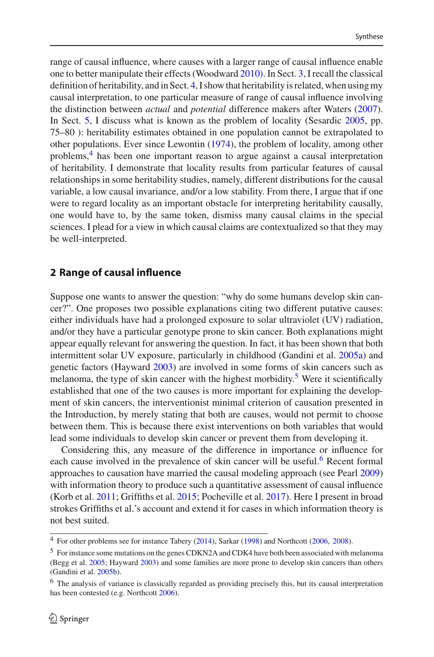range of causal influence, where causes with a larger range of causal influence enable one to better manipulate their effects (Woodwar[d](#page-26-1) [2010](#page-26-1)). In Sect. [3,](#page-8-0) I recall the classical definition of heritability, and in Sect. [4,](#page-10-0) I show that heritability is related, when using my causal interpretation, to one particular measure of range of causal influence involving the distinction between *actual* and *potential* difference makers after Water[s](#page-25-9) [\(2007](#page-25-9)). In Sect. [5,](#page-18-0) I discuss what is known as the problem of locality (Sesardi[c](#page-25-1) [2005,](#page-25-1) pp. 75–80 ): heritability estimates obtained in one population cannot be extrapolated to other populations. Ever since Lewonti[n](#page-24-0) [\(1974\)](#page-24-0), the problem of locality, among other problems[,4](#page-3-1) has been one important reason to argue against a causal interpretation of heritability. I demonstrate that locality results from particular features of causal relationships in some heritability studies, namely, different distributions for the causal variable, a low causal invariance, and/or a low stability. From there, I argue that if one were to regard locality as an important obstacle for interpreting heritability causally, one would have to, by the same token, dismiss many causal claims in the special sciences. I plead for a view in which causal claims are contextualized so that they may be well-interpreted.

### <span id="page-3-0"></span>**2 Range of causal influence**

Suppose one wants to answer the question: "why do some humans develop skin cancer?". One proposes two possible explanations citing two different putative causes: either individuals have had a prolonged exposure to solar ultraviolet (UV) radiation, and/or they have a particular genotype prone to skin cancer. Both explanations might appear equally relevant for answering the question. In fact, it has been shown that both intermittent solar UV exposure, particularly in childhood (Gandini et al[.](#page-24-4) [2005a\)](#page-24-4) and genetic factors (Haywar[d](#page-24-5) [2003](#page-24-5)) are involved in some forms of skin cancers such as melanoma, the type of skin cancer with the highest morbidity.<sup>[5](#page-3-2)</sup> Were it scientifically established that one of the two causes is more important for explaining the development of skin cancers, the interventionist minimal criterion of causation presented in the Introduction, by merely stating that both are causes, would not permit to choose between them. This is because there exist interventions on both variables that would lead some individuals to develop skin cancer or prevent them from developing it.

Considering this, any measure of the difference in importance or influence for each cause involved in the prevalence of skin cancer will be useful.<sup>[6](#page-3-3)</sup> Recent formal approaches to causation have married the causal modeling approach (see Pear[l](#page-25-10) [2009\)](#page-25-10) with information theory to produce such a quantitative assessment of causal influence (Korb et al[.](#page-24-2) [2011;](#page-24-2) Griffiths et al[.](#page-24-3) [2015](#page-24-3); Pocheville et al[.](#page-25-8) [2017](#page-25-8)). Here I present in broad strokes Griffiths et al.'s account and extend it for cases in which information theory is not best suited.

<span id="page-3-1"></span><sup>4</sup> For other problems see for instance Taber[y](#page-25-2) [\(2014\)](#page-25-2), Sarka[r](#page-25-11) [\(1998\)](#page-25-11) and Northcot[t](#page-25-12) [\(2006](#page-25-12), [2008](#page-25-13)).

<span id="page-3-2"></span><sup>&</sup>lt;sup>5</sup> For instance some mutations on the genes CDKN2A and CDK4 have both been associated with melanoma (Begg et al[.](#page-24-6) [2005](#page-24-6); Haywar[d](#page-24-5) [2003](#page-24-5)) and some families are more prone to develop skin cancers than others (Gandini et al[.](#page-24-7) [2005b](#page-24-7)).

<span id="page-3-3"></span><sup>&</sup>lt;sup>6</sup> The analysis of variance is classically regarded as providing precisely this, but its causal interpretation has been contested (e.g. Northcot[t](#page-25-12) [2006](#page-25-12)).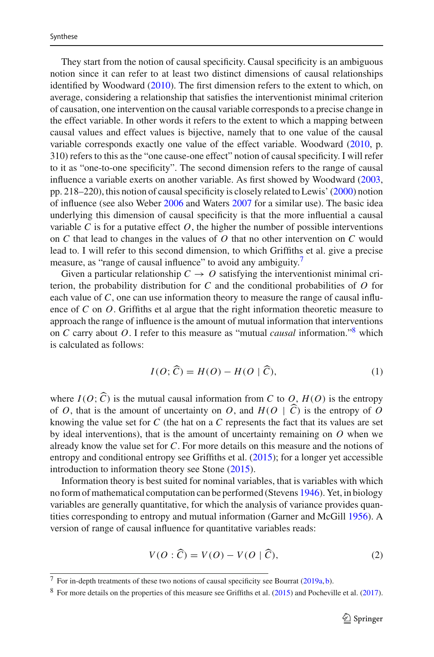They start from the notion of causal specificity. Causal specificity is an ambiguous notion since it can refer to at least two distinct dimensions of causal relationships identified by Woodwar[d](#page-26-1) [\(2010\)](#page-26-1). The first dimension refers to the extent to which, on average, considering a relationship that satisfies the interventionist minimal criterion of causation, one intervention on the causal variable corresponds to a precise change in the effect variable. In other words it refers to the extent to which a mapping between causal values and effect values is bijective, namely that to one value of the causal variable corresponds exactly one value of the effect variable. Woodward [\(2010,](#page-26-1) p. 310) refers to this as the "one cause-one effect" notion of causal specificity. I will refer to it as "one-to-one specificity". The second dimension refers to the range of causal influence a variable exerts on another variable. As first showed by Woodward [\(2003,](#page-26-0) pp. 218–220), this notion of causal specificity is closely related to Lewis' [\(2000\)](#page-24-8) notion of influence (see also Webe[r](#page-25-14) [2006](#page-25-14) and Water[s](#page-25-9) [2007](#page-25-9) for a similar use). The basic idea underlying this dimension of causal specificity is that the more influential a causal variable  $C$  is for a putative effect  $O$ , the higher the number of possible interventions on *C* that lead to changes in the values of *O* that no other intervention on *C* would lead to. I will refer to this second dimension, to which Griffiths et al. give a precise measure, as "range of causal influence" to avoid any ambiguity.<sup>7</sup>

Given a particular relationship  $C \rightarrow O$  satisfying the interventionist minimal criterion, the probability distribution for *C* and the conditional probabilities of *O* for each value of *C*, one can use information theory to measure the range of causal influence of *C* on *O*. Griffiths et al argue that the right information theoretic measure to approach the range of influence is the amount of mutual information that interventions on *C* carry about *O*. I refer to this measure as "mutual *causal* information."<sup>8</sup> which is calculated as follows:

<span id="page-4-3"></span>
$$
I(O; \widehat{C}) = H(O) - H(O \mid \widehat{C}), \tag{1}
$$

where  $I(O; C)$  is the mutual causal information from *C* to  $O, H(O)$  is the entropy of *O*, that is the amount of uncertainty on *O*, and  $H(O | C)$  is the entropy of *O* knowing the value set for *C* (the hat on a *C* represents the fact that its values are set by ideal interventions), that is the amount of uncertainty remaining on *O* when we already know the value set for *C*. For more details on this measure and the notions of entropy and conditional entropy see Griffiths et al[.](#page-24-3) [\(2015](#page-24-3)); for a longer yet accessible introduction to information theory see Ston[e](#page-25-15) [\(2015](#page-25-15)).

Information theory is best suited for nominal variables, that is variables with which no form of mathematical computation can be performed (Steven[s](#page-25-16) [1946\)](#page-25-16). Yet, in biology variables are generally quantitative, for which the analysis of variance provides quantities corresponding to entropy and mutual information (Garner and McGil[l](#page-24-9) [1956\)](#page-24-9). A version of range of causal influence for quantitative variables reads:

<span id="page-4-2"></span>
$$
V(O: \widehat{C}) = V(O) - V(O \mid \widehat{C}), \tag{2}
$$

<span id="page-4-0"></span> $7$  For in-dep[t](#page-24-10)h treatments of these two notions of causal specificity see Bourrat [\(2019a,](#page-24-10) [b\)](#page-24-11).

<span id="page-4-1"></span><sup>8</sup> For more details on the properties of this measure see Griffiths et al[.](#page-24-3) [\(2015](#page-24-3)) and Pocheville et al[.](#page-25-8) [\(2017](#page-25-8)).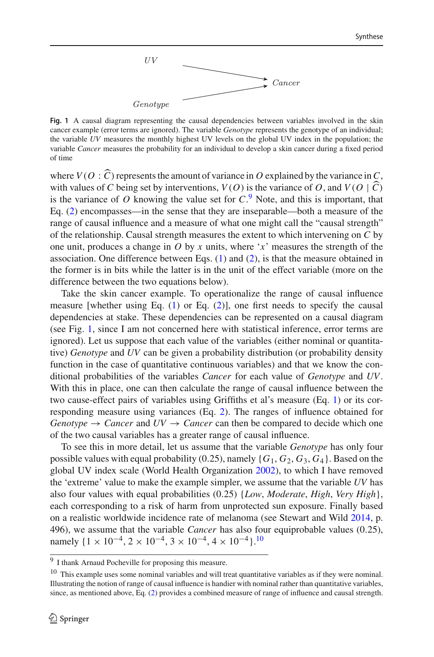

<span id="page-5-1"></span>Fig. 1 A causal diagram representing the causal dependencies between variables involved in the skin cancer example (error terms are ignored). The variable *Genotype* represents the genotype of an individual; the variable *UV* measures the monthly highest UV levels on the global UV index in the population; the variable *Canaar* measures the probability for an individual to develop a skin cancer during a fixed period variable *Cancer* measures the probability for an individual to develop a skin cancer during a fixed period<br>of time of time

where  $V(O: C)$  represents the amount of variance in  $O$  explained by the variance in  $C$ , with values of *C* being set by interventions,  $V(O)$  is the variance of *O*, and  $V(O | C)$ is the variance of *O* knowing the value set for *C*. [9](#page-5-0) Note, and this is important, that Eq. [\(2\)](#page-4-2) encompasses—in the sense that they are inseparable—both a measure of the range of causal influence and a measure of what one might call the "causal strength" of the relationship. Causal strength measures the extent to which intervening on *C* by one unit, produces a change in *O* by *x* units, where '*x*' measures the strength of the association. One difference between Eqs. [\(1\)](#page-4-3) and [\(2\)](#page-4-2), is that the measure obtained in the former is in bits while the latter is in the unit of the effect variable (more on the difference between the two equations below).

Take the skin cancer example. To operationalize the range of causal influence measure [whether using Eq.  $(1)$  or Eq.  $(2)$ ], one first needs to specify the causal dependencies at stake. These dependencies can be represented on a causal diagram (see Fig. [1,](#page-5-1) since I am not concerned here with statistical inference, error terms are ignored). Let us suppose that each value of the variables (either nominal or quantitative) *Genotype* and *UV* can be given a probability distribution (or probability density function in the case of quantitative continuous variables) and that we know the conditional probabilities of the variables *Cancer* for each value of *Genotype* and *UV*. With this in place, one can then calculate the range of causal influence between the two cause-effect pairs of variables using Griffiths et al's measure (Eq. [1\)](#page-4-3) or its corresponding measure using variances (Eq. [2\)](#page-4-2). The ranges of influence obtained for *Genotype*  $\rightarrow$  *Cancer* and  $UV \rightarrow$  *Cancer* can then be compared to decide which one of the two causal variables has a greater range of causal influence.

To see this in more detail, let us assume that the variable *Genotype* has only four possible values with equal probability (0.25), namely  $\{G_1, G_2, G_3, G_4\}$ . Based on the global UV index scale (World Health Organizatio[n](#page-26-3) [2002\)](#page-26-3), to which I have removed the 'extreme' value to make the example simpler, we assume that the variable *UV* has also four values with equal probabilities (0*.*25) {*Low*, *Moderate*, *High*, *Very High*}, each corresponding to a risk of harm from unprotected sun exposure. Finally based on a realistic worldwide incidence rate of melanoma (see Stewart and Wil[d](#page-25-17) [2014](#page-25-17), p. 496), we assume that the variable *Cancer* has also four equiprobable values (0*.*25), namely  $\{1 \times 10^{-4}, 2 \times 10^{-4}, 3 \times 10^{-4}, 4 \times 10^{-4}\}$ .<sup>10</sup>

<span id="page-5-0"></span><sup>9</sup> I thank Arnaud Pocheville for proposing this measure.

<span id="page-5-2"></span><sup>&</sup>lt;sup>10</sup> This example uses some nominal variables and will treat quantitative variables as if they were nominal. Illustrating the notion of range of causal influence is handier with nominal rather than quantitative variables, since, as mentioned above, Eq. [\(2\)](#page-4-2) provides a combined measure of range of influence and causal strength.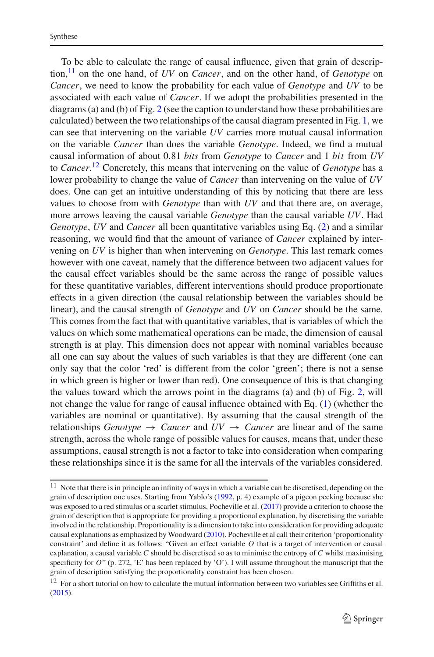To be able to calculate the range of causal influence, given that grain of description,[11](#page-6-0) on the one hand, of *UV* on *Cancer*, and on the other hand, of *Genotype* on *Cancer*, we need to know the probability for each value of *Genotype* and *UV* to be associated with each value of *Cancer*. If we adopt the probabilities presented in the diagrams (a) and (b) of Fig. [2](#page-7-0) (see the caption to understand how these probabilities are calculated) between the two relationships of the causal diagram presented in Fig. [1,](#page-5-1) we can see that intervening on the variable *UV* carries more mutual causal information on the variable *Cancer* than does the variable *Genotype*. Indeed, we find a mutual causal information of about 0*.*81 *bits* from *Genotype* to *Cancer* and 1 *bit* from *UV* to *Cancer*. [12](#page-6-1) Concretely, this means that intervening on the value of *Genotype* has a lower probability to change the value of *Cancer* than intervening on the value of *UV* does. One can get an intuitive understanding of this by noticing that there are less values to choose from with *Genotype* than with *UV* and that there are, on average, more arrows leaving the causal variable *Genotype* than the causal variable *UV*. Had *Genotype*, *UV* and *Cancer* all been quantitative variables using Eq. [\(2\)](#page-4-2) and a similar reasoning, we would find that the amount of variance of *Cancer* explained by intervening on *UV* is higher than when intervening on *Genotype*. This last remark comes however with one caveat, namely that the difference between two adjacent values for the causal effect variables should be the same across the range of possible values for these quantitative variables, different interventions should produce proportionate effects in a given direction (the causal relationship between the variables should be linear), and the causal strength of *Genotype* and *UV* on *Cancer* should be the same. This comes from the fact that with quantitative variables, that is variables of which the values on which some mathematical operations can be made, the dimension of causal strength is at play. This dimension does not appear with nominal variables because all one can say about the values of such variables is that they are different (one can only say that the color 'red' is different from the color 'green'; there is not a sense in which green is higher or lower than red). One consequence of this is that changing the values toward which the arrows point in the diagrams (a) and (b) of Fig. [2,](#page-7-0) will not change the value for range of causal influence obtained with Eq. [\(1\)](#page-4-3) (whether the variables are nominal or quantitative). By assuming that the causal strength of the relationships *Genotype*  $\rightarrow$  *Cancer* and *UV*  $\rightarrow$  *Cancer* are linear and of the same strength, across the whole range of possible values for causes, means that, under these assumptions, causal strength is not a factor to take into consideration when comparing these relationships since it is the same for all the intervals of the variables considered.

<span id="page-6-0"></span><sup>&</sup>lt;sup>11</sup> Note that there is in principle an infinity of ways in which a variable can be discretised, depending on the grain of description one uses. Starting from Yablo's [\(1992,](#page-26-4) p. 4) example of a pigeon pecking because she was exposed to a red stimulus or a scarlet stimulus, Pocheville et al[.](#page-25-8) [\(2017\)](#page-25-8) provide a criterion to choose the grain of description that is appropriate for providing a proportional explanation, by discretising the variable involved in the relationship. Proportionality is a dimension to take into consideration for providing adequate causal explanations as emphasized by Woodwar[d](#page-26-1) [\(2010\)](#page-26-1). Pocheville et al call their criterion 'proportionality constraint' and define it as follows: "Given an effect variable *O* that is a target of intervention or causal explanation, a causal variable *C* should be discretised so as to minimise the entropy of *C* whilst maximising specificity for *O*" (p. 272, 'E' has been replaced by 'O'). I will assume throughout the manuscript that the grain of description satisfying the proportionality constraint has been chosen.

<span id="page-6-1"></span> $12$  For a short tutorial on how to calculate the mutual information between two variables see Griffiths et al[.](#page-24-3) [\(2015](#page-24-3)).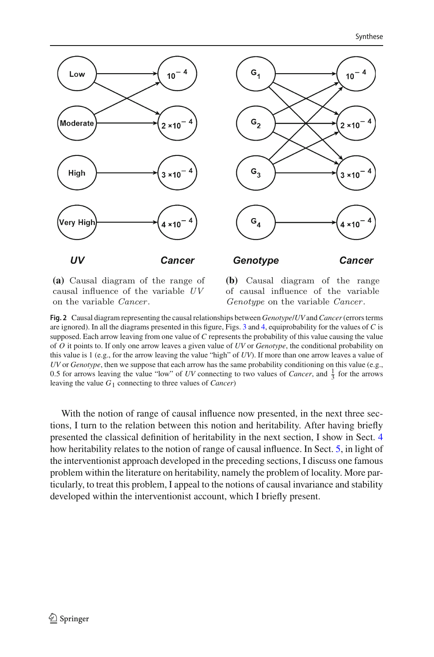

**(a)** Causal diagram of the range of causal influence of the variable *UV* on the variable *Cancer*.

**(b)** Causal diagram of the range of causal influence of the variable *Genotype* on the variable *Cancer*.

<span id="page-7-0"></span>**Fig. 2** Causal diagram representing the causal relationships between *Genotype*/*UV* and*Cancer*(errors terms are ignored). In all the diagrams presented in this figure, Figs. [3](#page-13-0) and [4,](#page-14-0) equiprobability for the values of *C* is supposed. Each arrow leaving from one value of *C* represents the probability of this value causing the value of *O* it points to. If only one arrow leaves a given value of *UV* or *Genotype*, the conditional probability on this value is 1 (e.g., for the arrow leaving the value "high" of *UV*). If more than one arrow leaves a value of *UV* or *Genotype*, then we suppose that each arrow has the same probability conditioning on this value (e.g., 0.5 for arrows leaving the value "low" of *UV* connecting to two values of *Cancer*, and  $\frac{1}{3}$  for the arrows leaving the value *G*1 connecting to three values of *Cancer*)

With the notion of range of causal influence now presented, in the next three sections, I turn to the relation between this notion and heritability. After having briefly presented the classical definition of heritability in the next section, I show in Sect. [4](#page-10-0) how heritability relates to the notion of range of causal influence. In Sect. [5,](#page-18-0) in light of the interventionist approach developed in the preceding sections, I discuss one famous problem within the literature on heritability, namely the problem of locality. More particularly, to treat this problem, I appeal to the notions of causal invariance and stability developed within the interventionist account, which I briefly present.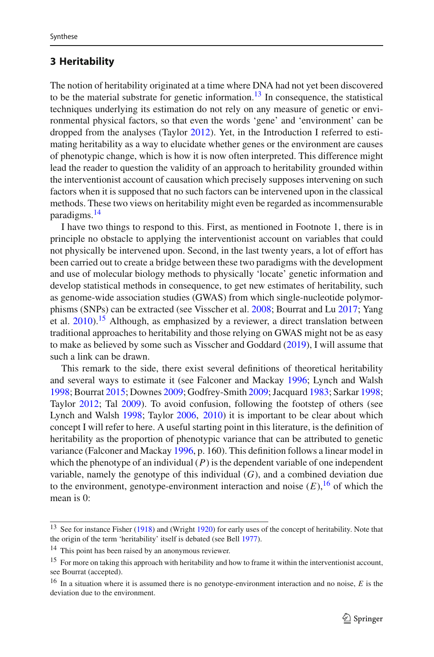#### <span id="page-8-0"></span>**3 Heritability**

The notion of heritability originated at a time where DNA had not yet been discovered to be the material substrate for genetic information.<sup>13</sup> In consequence, the statistical techniques underlying its estimation do not rely on any measure of genetic or environmental physical factors, so that even the words 'gene' and 'environment' can be dropped from the analyses (Taylo[r](#page-25-6) [2012\)](#page-25-6). Yet, in the Introduction I referred to estimating heritability as a way to elucidate whether genes or the environment are causes of phenotypic change, which is how it is now often interpreted. This difference might lead the reader to question the validity of an approach to heritability grounded within the interventionist account of causation which precisely supposes intervening on such factors when it is supposed that no such factors can be intervened upon in the classical methods. These two views on heritability might even be regarded as incommensurable paradigms[.14](#page-8-2)

I have two things to respond to this. First, as mentioned in Footnote 1, there is in principle no obstacle to applying the interventionist account on variables that could not physically be intervened upon. Second, in the last twenty years, a lot of effort has been carried out to create a bridge between these two paradigms with the development and use of molecular biology methods to physically 'locate' genetic information and develop statistical methods in consequence, to get new estimates of heritability, such as genome-wide association studies (GWAS) from which single-nucleotide polymorphisms (SNPs) can be extracted (see Visscher et al[.](#page-25-18) [2008;](#page-25-18) Bourrat and L[u](#page-24-12) [2017](#page-24-12); Yang et al[.](#page-26-5)  $2010$ .<sup>[15](#page-8-3)</sup> Although, as emphasized by a reviewer, a direct translation between traditional approaches to heritability and those relying on GWAS might not be as easy to make as believed by some such as Visscher and Goddar[d](#page-25-19) [\(2019](#page-25-19)), I will assume that such a link can be drawn.

This remark to the side, there exist several definitions of theoretical heritability and several ways to estimate it (see Falconer and Macka[y](#page-24-13) [1996](#page-24-13); Lynch and Wals[h](#page-25-7) [1998;](#page-25-7) Bourra[t](#page-24-14) [2015](#page-24-14); Downe[s](#page-24-15) [2009;](#page-24-15) Godfrey-Smit[h](#page-24-16) [2009;](#page-24-16) Jacquar[d](#page-24-17) [1983](#page-24-17); Sarka[r](#page-25-11) [1998](#page-25-11); Taylo[r](#page-25-6) [2012](#page-25-6); Ta[l](#page-25-3) [2009\)](#page-25-3). To avoid confusion, following the footstep of others (see Lynch and Wals[h](#page-25-7) [1998](#page-25-7); Taylo[r](#page-25-0) [2006,](#page-25-0) [2010\)](#page-25-4) it is important to be clear about which concept I will refer to here. A useful starting point in this literature, is the definition of heritability as the proportion of phenotypic variance that can be attributed to genetic variance (Falconer and Macka[y](#page-24-13) [1996,](#page-24-13) p. 160). This definition follows a linear model in which the phenotype of an individual  $(P)$  is the dependent variable of one independent variable, namely the genotype of this individual (*G*), and a combined deviation due to the environment, genotype-environment interaction and noise  $(E)$ , <sup>16</sup> of which the mean is 0:

<span id="page-8-1"></span><sup>&</sup>lt;sup>13</sup> See fo[r](#page-24-18) instance Fisher [\(1918](#page-24-18)) and (Wrigh[t](#page-26-6) [1920](#page-26-6)) for early uses of the concept of heritability. Note that the origin of the term 'heritability' itself is debated (see Bel[l](#page-24-19) [1977\)](#page-24-19).

<span id="page-8-2"></span><sup>14</sup> This point has been raised by an anonymous reviewer.

<span id="page-8-3"></span><sup>&</sup>lt;sup>15</sup> For more on taking this approach with heritability and how to frame it within the interventionist account, see Bourrat (accepted).

<span id="page-8-4"></span><sup>16</sup> In a situation where it is assumed there is no genotype-environment interaction and no noise, *E* is the deviation due to the environment.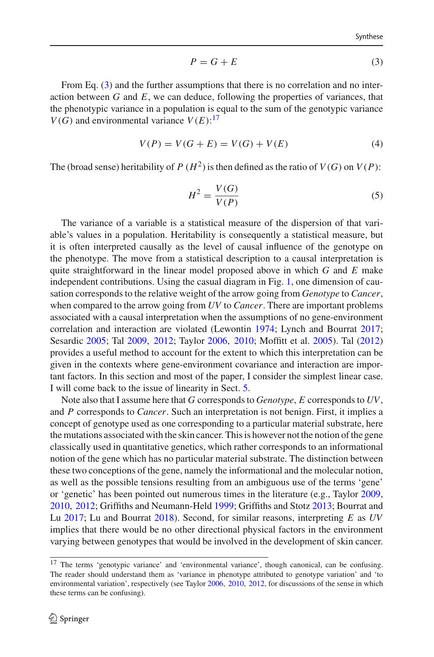<span id="page-9-0"></span>
$$
P = G + E \tag{3}
$$

From Eq. [\(3\)](#page-9-0) and the further assumptions that there is no correlation and no interaction between *G* and *E*, we can deduce, following the properties of variances, that the phenotypic variance in a population is equal to the sum of the genotypic variance  $V(G)$  and environmental variance  $V(E)$ :<sup>[17](#page-9-1)</sup>

$$
V(P) = V(G + E) = V(G) + V(E)
$$
\n(4)

The (broad sense) heritability of  $P(H^2)$  is then defined as the ratio of  $V(G)$  on  $V(P)$ :

<span id="page-9-2"></span>
$$
H^2 = \frac{V(G)}{V(P)}\tag{5}
$$

The variance of a variable is a statistical measure of the dispersion of that variable's values in a population. Heritability is consequently a statistical measure, but it is often interpreted causally as the level of causal influence of the genotype on the phenotype. The move from a statistical description to a causal interpretation is quite straightforward in the linear model proposed above in which *G* and *E* make independent contributions. Using the casual diagram in Fig. [1,](#page-5-1) one dimension of causation corresponds to the relative weight of the arrow going from *Genotype* to *Cancer*, when compared to the arrow going from *UV* to *Cancer*. There are important problems associated with a causal interpretation when the assumptions of no gene-environment correlation and interaction are violated (Lewonti[n](#page-24-0) [1974](#page-24-0); Lynch and Bourra[t](#page-24-1) [2017](#page-24-1); Sesardi[c](#page-25-1) [2005](#page-25-1); Ta[l](#page-25-3) [2009,](#page-25-3) [2012;](#page-25-20) Taylo[r](#page-25-0) [2006](#page-25-0), [2010](#page-25-4); Moffitt et al[.](#page-25-21) [2005](#page-25-21)). Ta[l](#page-25-20) [\(2012\)](#page-25-20) provides a useful method to account for the extent to which this interpretation can be given in the contexts where gene-environment covariance and interaction are important factors. In this section and most of the paper, I consider the simplest linear case. I will come back to the issue of linearity in Sect. [5.](#page-18-0)

Note also that I assume here that *G* corresponds to *Genotype*, *E* corresponds to *UV*, and *P* corresponds to *Cancer*. Such an interpretation is not benign. First, it implies a concept of genotype used as one corresponding to a particular material substrate, here the mutations associated with the skin cancer. This is however not the notion of the gene classically used in quantitative genetics, which rather corresponds to an informational notion of the gene which has no particular material substrate. The distinction between these two conceptions of the gene, namely the informational and the molecular notion, as well as the possible tensions resulting from an ambiguous use of the terms 'gene' or 'genetic' has been pointed out numerous times in the literature (e.g., Taylo[r](#page-25-22) [2009,](#page-25-22) [2010,](#page-25-4) [2012](#page-25-6); Griffiths and Neumann-Hel[d](#page-24-20) [1999;](#page-24-20) Griffiths and Stot[z](#page-24-21) [2013](#page-24-21); Bourrat and L[u](#page-24-12) [2017;](#page-24-12) Lu and Bourra[t](#page-24-22) [2018](#page-24-22)). Second, for similar reasons, interpreting *E* as *UV* implies that there would be no other directional physical factors in the environment varying between genotypes that would be involved in the development of skin cancer.

<span id="page-9-1"></span><sup>&</sup>lt;sup>17</sup> The terms 'genotypic variance' and 'environmental variance', though canonical, can be confusing. The reader should understand them as 'variance in phenotype attributed to genotype variation' and 'to environmental variation', respectively (see Taylo[r](#page-25-0) [2006](#page-25-0), [2010](#page-25-4), [2012,](#page-25-6) for discussions of the sense in which these terms can be confusing).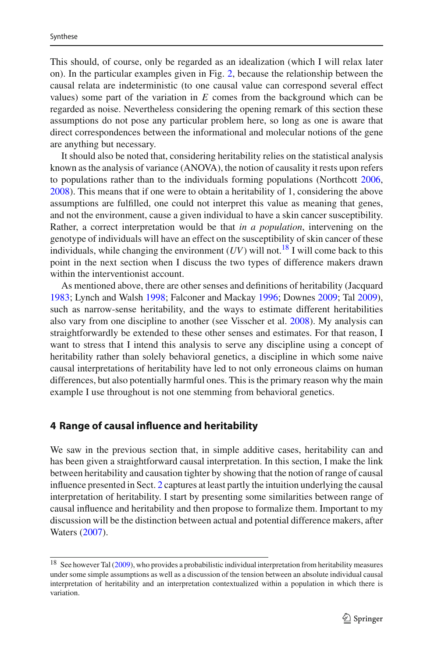This should, of course, only be regarded as an idealization (which I will relax later on). In the particular examples given in Fig. [2,](#page-7-0) because the relationship between the causal relata are indeterministic (to one causal value can correspond several effect values) some part of the variation in *E* comes from the background which can be regarded as noise. Nevertheless considering the opening remark of this section these assumptions do not pose any particular problem here, so long as one is aware that direct correspondences between the informational and molecular notions of the gene are anything but necessary.

It should also be noted that, considering heritability relies on the statistical analysis known as the analysis of variance (ANOVA), the notion of causality it rests upon refers to populations rather than to the individuals forming populations (Northcot[t](#page-25-12) [2006,](#page-25-12) [2008\)](#page-25-13). This means that if one were to obtain a heritability of 1, considering the above assumptions are fulfilled, one could not interpret this value as meaning that genes, and not the environment, cause a given individual to have a skin cancer susceptibility. Rather, a correct interpretation would be that *in a population*, intervening on the genotype of individuals will have an effect on the susceptibility of skin cancer of these individuals, while changing the environment  $(UV)$  will not.<sup>18</sup> I will come back to this point in the next section when I discuss the two types of difference makers drawn within the interventionist account.

As mentioned above, there are other senses and definitions of heritability (Jacquar[d](#page-24-17) [1983;](#page-24-17) Lynch and Wals[h](#page-25-7) [1998;](#page-25-7) Falconer and Macka[y](#page-24-13) [1996;](#page-24-13) Downe[s](#page-24-15) [2009;](#page-24-15) Ta[l](#page-25-3) [2009](#page-25-3)), such as narrow-sense heritability, and the ways to estimate different heritabilities also vary from one discipline to another (see Visscher et al[.](#page-25-18) [2008\)](#page-25-18). My analysis can straightforwardly be extended to these other senses and estimates. For that reason, I want to stress that I intend this analysis to serve any discipline using a concept of heritability rather than solely behavioral genetics, a discipline in which some naive causal interpretations of heritability have led to not only erroneous claims on human differences, but also potentially harmful ones. This is the primary reason why the main example I use throughout is not one stemming from behavioral genetics.

#### <span id="page-10-0"></span>**4 Range of causal influence and heritability**

We saw in the previous section that, in simple additive cases, heritability can and has been given a straightforward causal interpretation. In this section, I make the link between heritability and causation tighter by showing that the notion of range of causal influence presented in Sect. [2](#page-3-0) captures at least partly the intuition underlying the causal interpretation of heritability. I start by presenting some similarities between range of causal influence and heritability and then propose to formalize them. Important to my discussion will be the distinction between actual and potential difference makers, after Water[s](#page-25-9) [\(2007\)](#page-25-9).

<span id="page-10-1"></span> $18$  See however Ta[l](#page-25-3) [\(2009](#page-25-3)), who provides a probabilistic individual interpretation from heritability measures under some simple assumptions as well as a discussion of the tension between an absolute individual causal interpretation of heritability and an interpretation contextualized within a population in which there is variation.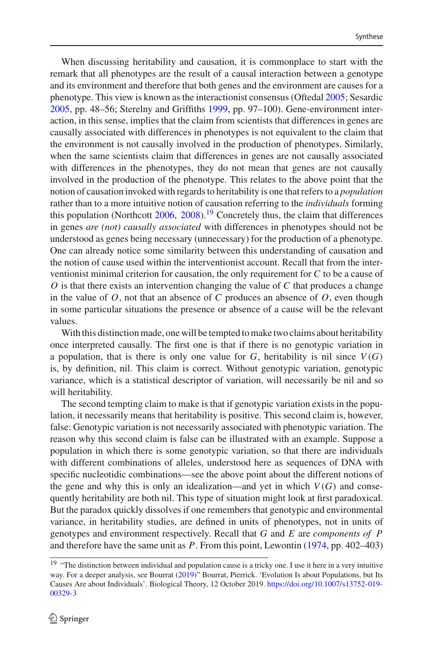When discussing heritability and causation, it is commonplace to start with the remark that all phenotypes are the result of a causal interaction between a genotype and its environment and therefore that both genes and the environment are causes for a phenotype. This view is known as the interactionist consensus (Ofteda[l](#page-25-5) [2005;](#page-25-5) Sesardi[c](#page-25-1) [2005,](#page-25-1) pp. 48–56; Sterelny and Griffith[s](#page-25-23) [1999,](#page-25-23) pp. 97–100). Gene-environment interaction, in this sense, implies that the claim from scientists that differences in genes are causally associated with differences in phenotypes is not equivalent to the claim that the environment is not causally involved in the production of phenotypes. Similarly, when the same scientists claim that differences in genes are not causally associated with differences in the phenotypes, they do not mean that genes are not causally involved in the production of the phenotype. This relates to the above point that the notion of causation invoked with regards to heritability is one that refers to a *population* rather than to a more intuitive notion of causation referring to the *individuals* forming [t](#page-25-12)his population (Northcott  $2006$ ,  $2008$ ).<sup>[19](#page-11-0)</sup> Concretely thus, the claim that differences in genes *are (not) causally associated* with differences in phenotypes should not be understood as genes being necessary (unnecessary) for the production of a phenotype. One can already notice some similarity between this understanding of causation and the notion of cause used within the interventionist account. Recall that from the interventionist minimal criterion for causation, the only requirement for *C* to be a cause of *O* is that there exists an intervention changing the value of *C* that produces a change in the value of *O*, not that an absence of *C* produces an absence of *O*, even though in some particular situations the presence or absence of a cause will be the relevant values.

With this distinction made, one will be tempted to make two claims about heritability once interpreted causally. The first one is that if there is no genotypic variation in a population, that is there is only one value for  $G$ , heritability is nil since  $V(G)$ is, by definition, nil. This claim is correct. Without genotypic variation, genotypic variance, which is a statistical descriptor of variation, will necessarily be nil and so will heritability.

The second tempting claim to make is that if genotypic variation exists in the population, it necessarily means that heritability is positive. This second claim is, however, false: Genotypic variation is not necessarily associated with phenotypic variation. The reason why this second claim is false can be illustrated with an example. Suppose a population in which there is some genotypic variation, so that there are individuals with different combinations of alleles, understood here as sequences of DNA with specific nucleotidic combinations—see the above point about the different notions of the gene and why this is only an idealization—and yet in which  $V(G)$  and consequently heritability are both nil. This type of situation might look at first paradoxical. But the paradox quickly dissolves if one remembers that genotypic and environmental variance, in heritability studies, are defined in units of phenotypes, not in units of genotypes and environment respectively. Recall that *G* and *E* are *components of P* and therefore have the same unit as *P*. From this point, Lewontin [\(1974,](#page-24-0) pp. 402–403)

<span id="page-11-0"></span><sup>&</sup>lt;sup>19</sup> "The distinction between individual and population cause is a tricky one. I use it here in a very intuitive way. For a deeper analysis, see Bourrat [\(2019\)](#page-24-23)" Bourrat, Pierrick. 'Evolution Is about Populations, but Its Causes Are about Individuals'. Biological Theory, 12 October 2019. [https://doi.org/10.1007/s13752-019-](https://doi.org/10.1007/s13752-019-00329-3) [00329-3](https://doi.org/10.1007/s13752-019-00329-3)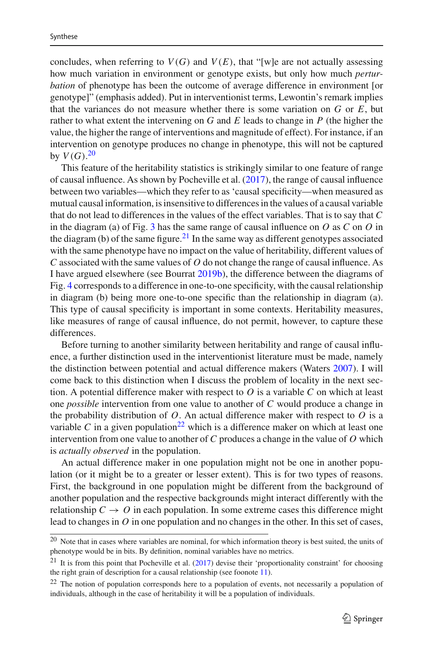concludes, when referring to  $V(G)$  and  $V(E)$ , that "[w]e are not actually assessing how much variation in environment or genotype exists, but only how much *perturbation* of phenotype has been the outcome of average difference in environment [or genotype]" (emphasis added). Put in interventionist terms, Lewontin's remark implies that the variances do not measure whether there is some variation on *G* or *E*, but rather to what extent the intervening on *G* and *E* leads to change in *P* (the higher the value, the higher the range of interventions and magnitude of effect). For instance, if an intervention on genotype produces no change in phenotype, this will not be captured by  $V(G)$ .<sup>[20](#page-12-0)</sup>

This feature of the heritability statistics is strikingly similar to one feature of range of causal influence. As shown by Pocheville et al[.](#page-25-8) [\(2017\)](#page-25-8), the range of causal influence between two variables—which they refer to as 'causal specificity—when measured as mutual causal information, is insensitive to differences in the values of a causal variable that do not lead to differences in the values of the effect variables. That is to say that *C* in the diagram (a) of Fig. [3](#page-13-0) has the same range of causal influence on *O* as *C* on *O* in the diagram (b) of the same figure.<sup>[21](#page-12-1)</sup> In the same way as different genotypes associated with the same phenotype have no impact on the value of heritability, different values of *C* associated with the same values of *O* do not change the range of causal influence. As I have argued elsewhere (see Bourra[t](#page-24-11) [2019b](#page-24-11)), the difference between the diagrams of Fig. [4](#page-14-0) corresponds to a difference in one-to-one specificity, with the causal relationship in diagram (b) being more one-to-one specific than the relationship in diagram (a). This type of causal specificity is important in some contexts. Heritability measures, like measures of range of causal influence, do not permit, however, to capture these differences.

Before turning to another similarity between heritability and range of causal influence, a further distinction used in the interventionist literature must be made, namely the distinction between potential and actual difference makers (Water[s](#page-25-9) [2007](#page-25-9)). I will come back to this distinction when I discuss the problem of locality in the next section. A potential difference maker with respect to  $O$  is a variable  $C$  on which at least one *possible* intervention from one value to another of *C* would produce a change in the probability distribution of *O*. An actual difference maker with respect to *O* is a variable  $C$  in a given population<sup>22</sup> which is a difference maker on which at least one intervention from one value to another of *C* produces a change in the value of *O* which is *actually observed* in the population.

An actual difference maker in one population might not be one in another population (or it might be to a greater or lesser extent). This is for two types of reasons. First, the background in one population might be different from the background of another population and the respective backgrounds might interact differently with the relationship  $C \rightarrow O$  in each population. In some extreme cases this difference might lead to changes in *O* in one population and no changes in the other. In this set of cases,

<span id="page-12-0"></span><sup>&</sup>lt;sup>20</sup> Note that in cases where variables are nominal, for which information theory is best suited, the units of phenotype would be in bits. By definition, nominal variables have no metrics.

<span id="page-12-1"></span><sup>21</sup> It is from this point that Pocheville et al[.](#page-25-8) [\(2017\)](#page-25-8) devise their 'proportionality constraint' for choosing the right grain of description for a causal relationship (see foonote [11\)](#page-6-0).

<span id="page-12-2"></span><sup>&</sup>lt;sup>22</sup> The notion of population corresponds here to a population of events, not necessarily a population of individuals, although in the case of heritability it will be a population of individuals.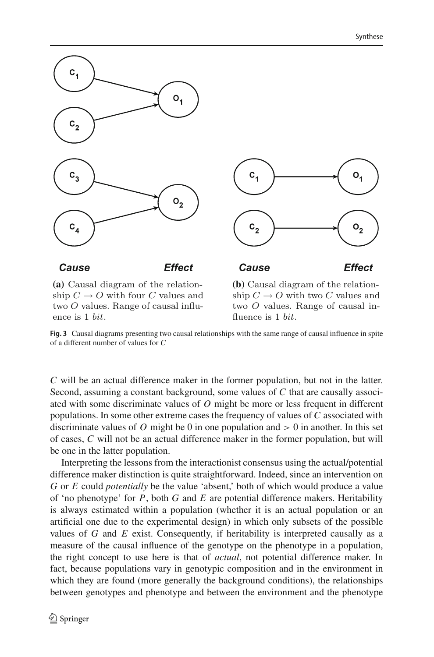

ship  $C \to O$  with four *C* values and two *O* values. Range of causal influence is 1 *bit*.

ship  $C \to O$  with two C values and two *O* values. Range of causal influence is 1 *bit*.

<span id="page-13-0"></span>**Fig. 3** Causal diagrams presenting two causal relationships with the same range of causal influence in spite of a different number of values for *C*

*C* will be an actual difference maker in the former population, but not in the latter. Second, assuming a constant background, some values of *C* that are causally associated with some discriminate values of *O* might be more or less frequent in different populations. In some other extreme cases the frequency of values of *C* associated with discriminate values of *O* might be 0 in one population and *>* 0 in another. In this set of cases, *C* will not be an actual difference maker in the former population, but will be one in the latter population.

Interpreting the lessons from the interactionist consensus using the actual/potential difference maker distinction is quite straightforward. Indeed, since an intervention on *G* or *E* could *potentially* be the value 'absent,' both of which would produce a value of 'no phenotype' for *P*, both *G* and *E* are potential difference makers. Heritability is always estimated within a population (whether it is an actual population or an artificial one due to the experimental design) in which only subsets of the possible values of *G* and *E* exist. Consequently, if heritability is interpreted causally as a measure of the causal influence of the genotype on the phenotype in a population, the right concept to use here is that of *actual*, not potential difference maker. In fact, because populations vary in genotypic composition and in the environment in which they are found (more generally the background conditions), the relationships between genotypes and phenotype and between the environment and the phenotype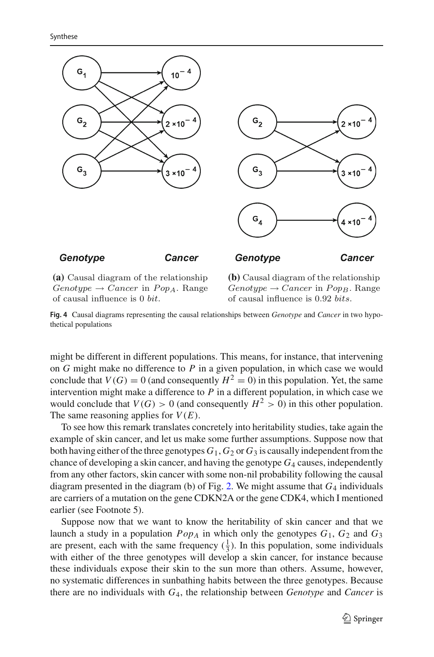

<span id="page-14-0"></span>**Fig. 4** Causal diagrams representing the causal relationships between *Genotype* and *Cancer* in two hypothetical populations

might be different in different populations. This means, for instance, that intervening on *G* might make no difference to *P* in a given population, in which case we would conclude that  $V(G) = 0$  (and consequently  $H^2 = 0$ ) in this population. Yet, the same intervention might make a difference to *P* in a different population, in which case we would conclude that  $V(G) > 0$  (and consequently  $H^2 > 0$ ) in this other population. The same reasoning applies for  $V(E)$ .

To see how this remark translates concretely into heritability studies, take again the example of skin cancer, and let us make some further assumptions. Suppose now that both having either of the three genotypes  $G_1$ ,  $G_2$  or  $G_3$  is causally independent from the chance of developing a skin cancer, and having the genotype  $G_4$  causes, independently from any other factors, skin cancer with some non-nil probability following the causal diagram presented in the diagram (b) of Fig. [2.](#page-7-0) We might assume that  $G_4$  individuals are carriers of a mutation on the gene CDKN2A or the gene CDK4, which I mentioned earlier (see Footnote 5).

Suppose now that we want to know the heritability of skin cancer and that we launch a study in a population  $Pop_A$  in which only the genotypes  $G_1$ ,  $G_2$  and  $G_3$ are present, each with the same frequency  $(\frac{1}{3})$ . In this population, some individuals with either of the three genotypes will develop a skin cancer, for instance because these individuals expose their skin to the sun more than others. Assume, however, no systematic differences in sunbathing habits between the three genotypes. Because there are no individuals with *G*4, the relationship between *Genotype* and *Cancer* is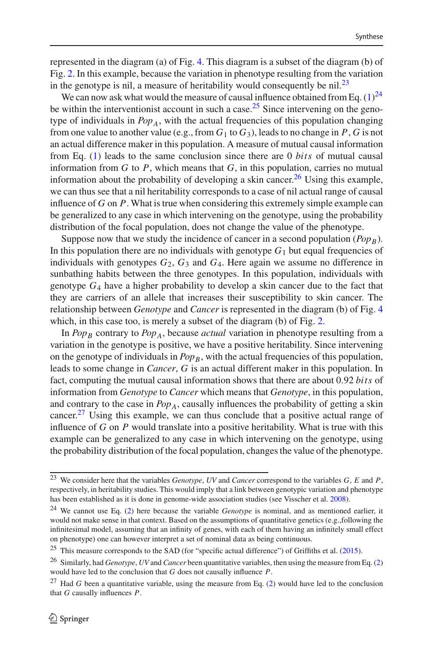represented in the diagram (a) of Fig. [4.](#page-14-0) This diagram is a subset of the diagram (b) of Fig. [2.](#page-7-0) In this example, because the variation in phenotype resulting from the variation in the genotype is nil, a measure of heritability would consequently be nil.<sup>23</sup>

We can now ask what would the measure of causal influence obtained from Eq.  $(1)^{24}$  $(1)^{24}$  $(1)^{24}$  $(1)^{24}$ be within the interventionist account in such a case.<sup>25</sup> Since intervening on the genotype of individuals in  $Pop_A$ , with the actual frequencies of this population changing from one value to another value (e.g., from  $G_1$  to  $G_3$ ), leads to no change in P, G is not an actual difference maker in this population. A measure of mutual causal information from Eq. [\(1\)](#page-4-3) leads to the same conclusion since there are 0 *bits* of mutual causal information from  $G$  to  $P$ , which means that  $G$ , in this population, carries no mutual information about the probability of developing a skin cancer.<sup>[26](#page-15-3)</sup> Using this example, we can thus see that a nil heritability corresponds to a case of nil actual range of causal influence of *G* on *P*. What is true when considering this extremely simple example can be generalized to any case in which intervening on the genotype, using the probability distribution of the focal population, does not change the value of the phenotype.

Suppose now that we study the incidence of cancer in a second population  $(Pop_p)$ . In this population there are no individuals with genotype  $G_1$  but equal frequencies of individuals with genotypes  $G_2$ ,  $G_3$  and  $G_4$ . Here again we assume no difference in sunbathing habits between the three genotypes. In this population, individuals with genotype *G*<sup>4</sup> have a higher probability to develop a skin cancer due to the fact that they are carriers of an allele that increases their susceptibility to skin cancer. The relationship between *Genotype* and *Cancer* is represented in the diagram (b) of Fig. [4](#page-14-0) which, in this case too, is merely a subset of the diagram (b) of Fig. [2.](#page-7-0)

In  $Pop_B$  contrary to  $Pop_A$ , because *actual* variation in phenotype resulting from a variation in the genotype is positive, we have a positive heritability. Since intervening on the genotype of individuals in  $Pop_B$ , with the actual frequencies of this population, leads to some change in *Cancer*, *G* is an actual different maker in this population. In fact, computing the mutual causal information shows that there are about 0*.*92 *bits* of information from *Genotype* to *Cancer* which means that *Genotype*, in this population, and contrary to the case in  $Pop<sub>A</sub>$ , causally influences the probability of getting a skin cancer.<sup>[27](#page-15-4)</sup> Using this example, we can thus conclude that a positive actual range of influence of *G* on *P* would translate into a positive heritability. What is true with this example can be generalized to any case in which intervening on the genotype, using the probability distribution of the focal population, changes the value of the phenotype.

<span id="page-15-0"></span><sup>23</sup> We consider here that the variables *Genotype*, *UV* and *Cancer* correspond to the variables *G*, *E* and *P*, respectively, in heritability studies. This would imply that a link between genotypic variation and phenotype has been established as it is done in genome-wide association studies (see Visscher et al[.](#page-25-18) [2008](#page-25-18)).

<span id="page-15-1"></span><sup>24</sup> We cannot use Eq. [\(2\)](#page-4-2) here because the variable *Genotype* is nominal, and as mentioned earlier, it would not make sense in that context. Based on the assumptions of quantitative genetics (e.g.,following the infinitesimal model, assuming that an infinity of genes, with each of them having an infinitely small effect on phenotype) one can however interpret a set of nominal data as being continuous.

<span id="page-15-2"></span><sup>25</sup> This measure corresponds to the SAD (for "specific actual difference") of Griffiths et al[.](#page-24-3) [\(2015\)](#page-24-3).

<span id="page-15-3"></span><sup>26</sup> Similarly, had *Genotype*, *UV* and *Cancer* been quantitative variables, then using the measure from Eq. [\(2\)](#page-4-2) would have led to the conclusion that *G* does not causally influence *P*.

<span id="page-15-4"></span><sup>27</sup> Had *G* been a quantitative variable, using the measure from Eq. [\(2\)](#page-4-2) would have led to the conclusion that *G* causally influences *P*.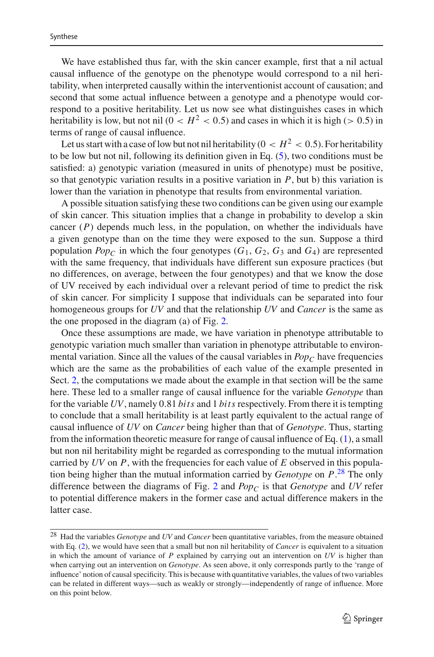We have established thus far, with the skin cancer example, first that a nil actual causal influence of the genotype on the phenotype would correspond to a nil heritability, when interpreted causally within the interventionist account of causation; and second that some actual influence between a genotype and a phenotype would correspond to a positive heritability. Let us now see what distinguishes cases in which heritability is low, but not nil ( $0 < H^2 < 0.5$ ) and cases in which it is high ( $> 0.5$ ) in terms of range of causal influence.

Let us start with a case of low but not nil heritability ( $0 < H^2 < 0.5$ ). For heritability to be low but not nil, following its definition given in Eq. [\(5\)](#page-9-2), two conditions must be satisfied: a) genotypic variation (measured in units of phenotype) must be positive, so that genotypic variation results in a positive variation in *P*, but b) this variation is lower than the variation in phenotype that results from environmental variation.

A possible situation satisfying these two conditions can be given using our example of skin cancer. This situation implies that a change in probability to develop a skin cancer  $(P)$  depends much less, in the population, on whether the individuals have a given genotype than on the time they were exposed to the sun. Suppose a third population *Pop<sub>C</sub>* in which the four genotypes  $(G_1, G_2, G_3$  and  $G_4$ ) are represented with the same frequency, that individuals have different sun exposure practices (but no differences, on average, between the four genotypes) and that we know the dose of UV received by each individual over a relevant period of time to predict the risk of skin cancer. For simplicity I suppose that individuals can be separated into four homogeneous groups for *UV* and that the relationship *UV* and *Cancer* is the same as the one proposed in the diagram (a) of Fig. [2.](#page-7-0)

Once these assumptions are made, we have variation in phenotype attributable to genotypic variation much smaller than variation in phenotype attributable to environmental variation. Since all the values of the causal variables in  $Pop<sub>C</sub>$  have frequencies which are the same as the probabilities of each value of the example presented in Sect. [2,](#page-3-0) the computations we made about the example in that section will be the same here. These led to a smaller range of causal influence for the variable *Genotype* than for the variable *UV*, namely 0*.*81 *bits* and 1 *bits* respectively. From there it is tempting to conclude that a small heritability is at least partly equivalent to the actual range of causal influence of *UV* on *Cancer* being higher than that of *Genotype*. Thus, starting from the information theoretic measure for range of causal influence of Eq. [\(1\)](#page-4-3), a small but non nil heritability might be regarded as corresponding to the mutual information carried by *UV* on *P*, with the frequencies for each value of *E* observed in this population being higher than the mutual information carried by *Genotype* on *P*. [28](#page-16-0) The only difference between the diagrams of Fig. [2](#page-7-0) and  $Pop<sub>C</sub>$  is that *Genotype* and *UV* refer to potential difference makers in the former case and actual difference makers in the latter case.

<span id="page-16-0"></span><sup>28</sup> Had the variables *Genotype* and *UV* and *Cancer* been quantitative variables, from the measure obtained with Eq. [\(2\)](#page-4-2), we would have seen that a small but non nil heritability of *Cancer* is equivalent to a situation in which the amount of variance of *P* explained by carrying out an intervention on *UV* is higher than when carrying out an intervention on *Genotype*. As seen above, it only corresponds partly to the 'range of influence' notion of causal specificity. This is because with quantitative variables, the values of two variables can be related in different ways—such as weakly or strongly—independently of range of influence. More on this point below.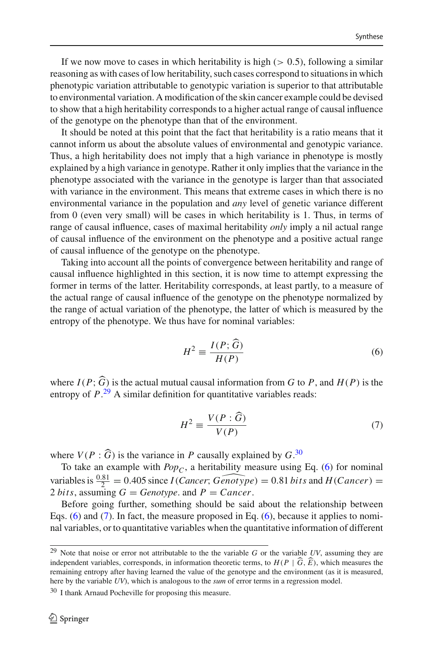If we now move to cases in which heritability is high ( $> 0.5$ ), following a similar reasoning as with cases of low heritability, such cases correspond to situations in which phenotypic variation attributable to genotypic variation is superior to that attributable to environmental variation. A modification of the skin cancer example could be devised to show that a high heritability corresponds to a higher actual range of causal influence of the genotype on the phenotype than that of the environment.

It should be noted at this point that the fact that heritability is a ratio means that it cannot inform us about the absolute values of environmental and genotypic variance. Thus, a high heritability does not imply that a high variance in phenotype is mostly explained by a high variance in genotype. Rather it only implies that the variance in the phenotype associated with the variance in the genotype is larger than that associated with variance in the environment. This means that extreme cases in which there is no environmental variance in the population and *any* level of genetic variance different from 0 (even very small) will be cases in which heritability is 1. Thus, in terms of range of causal influence, cases of maximal heritability *only* imply a nil actual range of causal influence of the environment on the phenotype and a positive actual range of causal influence of the genotype on the phenotype.

Taking into account all the points of convergence between heritability and range of causal influence highlighted in this section, it is now time to attempt expressing the former in terms of the latter. Heritability corresponds, at least partly, to a measure of the actual range of causal influence of the genotype on the phenotype normalized by the range of actual variation of the phenotype, the latter of which is measured by the entropy of the phenotype. We thus have for nominal variables:

<span id="page-17-2"></span>
$$
H^2 \equiv \frac{I(P; \hat{G})}{H(P)}\tag{6}
$$

where  $I(P; G)$  is the actual mutual causal information from *G* to *P*, and  $H(P)$  is the entropy of  $P^{29}$  $P^{29}$  $P^{29}$  A similar definition for quantitative variables reads:

<span id="page-17-3"></span>
$$
H^{2} \equiv \frac{V(P:\widehat{G})}{V(P)}\tag{7}
$$

where  $V(P: \widehat{G})$  is the variance in *P* causally explained by  $G^{30}$  $G^{30}$  $G^{30}$ 

To take an example with  $Pop<sub>C</sub>$ , a heritability measure using Eq. [\(6\)](#page-17-2) for nominal variables is  $\frac{0.81}{2} = 0.405$  since *I*(*Cancer*; *Genotype*) = 0.81 *bits* and *H*(*Cancer*) =  $\widehat{G}$ ) is the variance in *P* causally explainting in example with *Pop<sub>C</sub>*, a heritability mean  $\frac{81}{2} = 0.405$  since *I*(*Cancer*; *Genotype* 2 *bits*, assuming  $G =$  *Genotype*. and  $P =$  *Cancer*.

Before going further, something should be said about the relationship between Eqs. [\(6\)](#page-17-2) and [\(7\)](#page-17-3). In fact, the measure proposed in Eq. [\(6\)](#page-17-2), because it applies to nominal variables, or to quantitative variables when the quantitative information of different

<span id="page-17-0"></span><sup>29</sup> Note that noise or error not attributable to the the variable *G* or the variable *UV*, assuming they are independent variables, corresponds, in information theoretic terms, to  $H(P \mid G, E)$ , which measures the remaining entropy after having learned the value of the genotype and the environment (as it is measured, here by the variable *UV*), which is analogous to the *sum* of error terms in a regression model.

<span id="page-17-1"></span><sup>&</sup>lt;sup>30</sup> I thank Arnaud Pocheville for proposing this measure.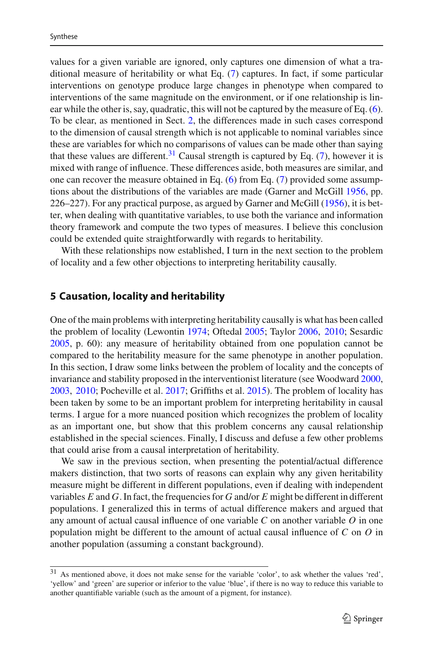values for a given variable are ignored, only captures one dimension of what a traditional measure of heritability or what Eq. [\(7\)](#page-17-3) captures. In fact, if some particular interventions on genotype produce large changes in phenotype when compared to interventions of the same magnitude on the environment, or if one relationship is linear while the other is, say, quadratic, this will not be captured by the measure of Eq. [\(6\)](#page-17-2). To be clear, as mentioned in Sect. [2,](#page-3-0) the differences made in such cases correspond to the dimension of causal strength which is not applicable to nominal variables since these are variables for which no comparisons of values can be made other than saying that these values are different.<sup>31</sup> Causal strength is captured by Eq.  $(7)$ , however it is mixed with range of influence. These differences aside, both measures are similar, and one can recover the measure obtained in Eq.  $(6)$  from Eq.  $(7)$  provided some assumptions about the distributions of the variables are made (Garner and McGil[l](#page-24-9) [1956](#page-24-9), pp. 226–227). For any practical purpose, as argued by Garner and McGil[l](#page-24-9) [\(1956\)](#page-24-9), it is better, when dealing with quantitative variables, to use both the variance and information theory framework and compute the two types of measures. I believe this conclusion could be extended quite straightforwardly with regards to heritability.

With these relationships now established, I turn in the next section to the problem of locality and a few other objections to interpreting heritability causally.

#### <span id="page-18-0"></span>**5 Causation, locality and heritability**

One of the main problems with interpreting heritability causally is what has been called the problem of locality (Lewonti[n](#page-24-0) [1974;](#page-24-0) Ofteda[l](#page-25-5) [2005;](#page-25-5) Taylo[r](#page-25-0) [2006](#page-25-0), [2010;](#page-25-4) Sesardi[c](#page-25-1) [2005,](#page-25-1) p. 60): any measure of heritability obtained from one population cannot be compared to the heritability measure for the same phenotype in another population. In this section, I draw some links between the problem of locality and the concepts of invariance and stability proposed in the interventionist literature (see Woodwar[d](#page-26-7) [2000,](#page-26-7) [2003,](#page-26-0) [2010;](#page-26-1) Pocheville et al[.](#page-25-8) [2017;](#page-25-8) Griffiths et al[.](#page-24-3) [2015](#page-24-3)). The problem of locality has been taken by some to be an important problem for interpreting heritability in causal terms. I argue for a more nuanced position which recognizes the problem of locality as an important one, but show that this problem concerns any causal relationship established in the special sciences. Finally, I discuss and defuse a few other problems that could arise from a causal interpretation of heritability.

We saw in the previous section, when presenting the potential/actual difference makers distinction, that two sorts of reasons can explain why any given heritability measure might be different in different populations, even if dealing with independent variables *E* and *G*. In fact, the frequencies for *G* and/or *E* might be different in different populations. I generalized this in terms of actual difference makers and argued that any amount of actual causal influence of one variable *C* on another variable *O* in one population might be different to the amount of actual causal influence of *C* on *O* in another population (assuming a constant background).

<span id="page-18-1"></span><sup>31</sup> As mentioned above, it does not make sense for the variable 'color', to ask whether the values 'red', 'yellow' and 'green' are superior or inferior to the value 'blue', if there is no way to reduce this variable to another quantifiable variable (such as the amount of a pigment, for instance).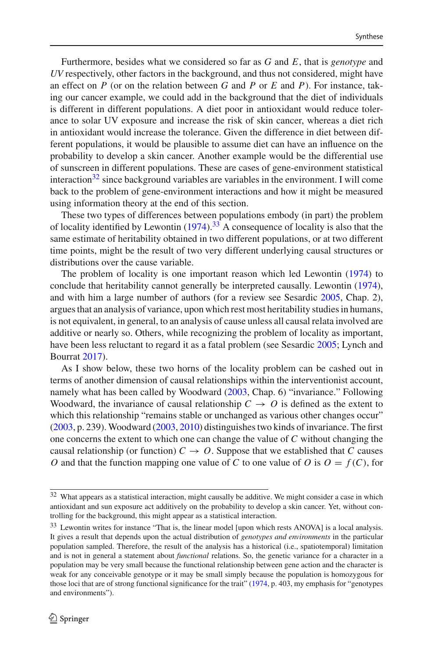Furthermore, besides what we considered so far as *G* and *E*, that is *genotype* and *UV* respectively, other factors in the background, and thus not considered, might have an effect on *P* (or on the relation between *G* and *P* or *E* and *P*). For instance, taking our cancer example, we could add in the background that the diet of individuals is different in different populations. A diet poor in antioxidant would reduce tolerance to solar UV exposure and increase the risk of skin cancer, whereas a diet rich in antioxidant would increase the tolerance. Given the difference in diet between different populations, it would be plausible to assume diet can have an influence on the probability to develop a skin cancer. Another example would be the differential use of sunscreen in different populations. These are cases of gene-environment statistical interaction $32$  since background variables are variables in the environment. I will come back to the problem of gene-environment interactions and how it might be measured using information theory at the end of this section.

These two types of differences between populations embody (in part) the problem of locality ide[n](#page-24-0)tified by Lewontin  $(1974)$  $(1974)$ .<sup>[33](#page-19-1)</sup> A consequence of locality is also that the same estimate of heritability obtained in two different populations, or at two different time points, might be the result of two very different underlying causal structures or distributions over the cause variable.

The problem of locality is one important reason which led Lewonti[n](#page-24-0) [\(1974](#page-24-0)) to conclude that heritability cannot generally be interpreted causally. Lewonti[n](#page-24-0) [\(1974](#page-24-0)), and with him a large number of authors (for a review see Sesardi[c](#page-25-1) [2005,](#page-25-1) Chap. 2), argues that an analysis of variance, upon which rest most heritability studies in humans, is not equivalent, in general, to an analysis of cause unless all causal relata involved are additive or nearly so. Others, while recognizing the problem of locality as important, have been less reluctant to regard it as a fatal problem (see Sesardi[c](#page-25-1) [2005](#page-25-1); Lynch and Bourra[t](#page-24-1) [2017\)](#page-24-1).

As I show below, these two horns of the locality problem can be cashed out in terms of another dimension of causal relationships within the interventionist account, namely what has been called by Woodward [\(2003](#page-26-0), Chap. 6) "invariance." Following Woodward, the invariance of causal relationship  $C \rightarrow O$  is defined as the extent to which this relationship "remains stable or unchanged as various other changes occur" [\(2003,](#page-26-0) p. 239). Woodward [\(2003,](#page-26-0) [2010\)](#page-26-1) distinguishes two kinds of invariance. The first one concerns the extent to which one can change the value of *C* without changing the causal relationship (or function)  $C \rightarrow O$ . Suppose that we established that *C* causes *O* and that the function mapping one value of *C* to one value of *O* is  $O = f(C)$ , for

<span id="page-19-0"></span><sup>32</sup> What appears as a statistical interaction, might causally be additive. We might consider a case in which antioxidant and sun exposure act additively on the probability to develop a skin cancer. Yet, without controlling for the background, this might appear as a statistical interaction.

<span id="page-19-1"></span><sup>&</sup>lt;sup>33</sup> Lewontin writes for instance "That is, the linear model [upon which rests ANOVA] is a local analysis. It gives a result that depends upon the actual distribution of *genotypes and environments* in the particular population sampled. Therefore, the result of the analysis has a historical (i.e., spatiotemporal) limitation and is not in general a statement about *functional* relations. So, the genetic variance for a character in a population may be very small because the functional relationship between gene action and the character is weak for any conceivable genotype or it may be small simply because the population is homozygous for those loci that are of strong functional significance for the trait" [\(1974,](#page-24-0) p. 403, my emphasis for "genotypes and environments").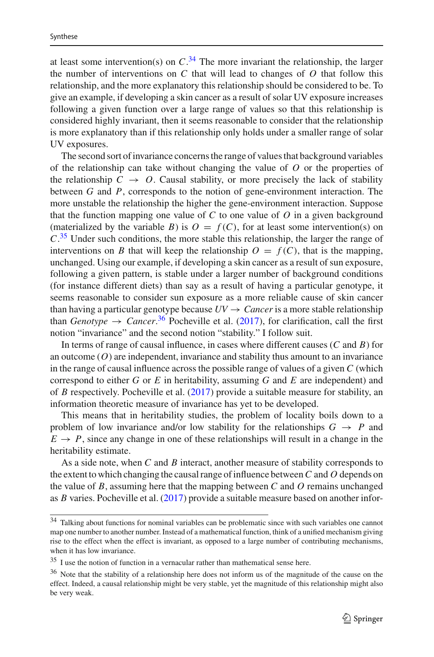at least some intervention(s) on  $C^{34}$  $C^{34}$  $C^{34}$ . The more invariant the relationship, the larger the number of interventions on *C* that will lead to changes of *O* that follow this relationship, and the more explanatory this relationship should be considered to be. To give an example, if developing a skin cancer as a result of solar UV exposure increases following a given function over a large range of values so that this relationship is considered highly invariant, then it seems reasonable to consider that the relationship is more explanatory than if this relationship only holds under a smaller range of solar UV exposures.

The second sort of invariance concerns the range of values that background variables of the relationship can take without changing the value of *O* or the properties of the relationship  $C \rightarrow O$ . Causal stability, or more precisely the lack of stability between *G* and *P*, corresponds to the notion of gene-environment interaction. The more unstable the relationship the higher the gene-environment interaction. Suppose that the function mapping one value of  $C$  to one value of  $O$  in a given background (materialized by the variable *B*) is  $O = f(C)$ , for at least some intervention(s) on *C*. [35](#page-20-1) Under such conditions, the more stable this relationship, the larger the range of interventions on *B* that will keep the relationship  $O = f(C)$ , that is the mapping, unchanged. Using our example, if developing a skin cancer as a result of sun exposure, following a given pattern, is stable under a larger number of background conditions (for instance different diets) than say as a result of having a particular genotype, it seems reasonable to consider sun exposure as a more reliable cause of skin cancer than having a particular genotype because  $UV \rightarrow$  *Cancer* is a more stable relationship than *Genotype*  $\rightarrow$  *Cancer*.<sup>[36](#page-20-2)</sup> Pocheville et al[.](#page-25-8) [\(2017\)](#page-25-8), for clarification, call the first notion "invariance" and the second notion "stability." I follow suit.

In terms of range of causal influence, in cases where different causes (*C* and *B*) for an outcome  $(O)$  are independent, invariance and stability thus amount to an invariance in the range of causal influence across the possible range of values of a given *C* (which correspond to either *G* or *E* in heritability, assuming *G* and *E* are independent) and of *B* respectively. Pocheville et al[.](#page-25-8) [\(2017](#page-25-8)) provide a suitable measure for stability, an information theoretic measure of invariance has yet to be developed.

This means that in heritability studies, the problem of locality boils down to a problem of low invariance and/or low stability for the relationships  $G \rightarrow P$  and  $E \rightarrow P$ , since any change in one of these relationships will result in a change in the heritability estimate.

As a side note, when *C* and *B* interact, another measure of stability corresponds to the extent to which changing the causal range of influence between*C* and *O* depends on the value of *B*, assuming here that the mapping between *C* and *O* remains unchanged as *B* varies. Pocheville et al[.](#page-25-8) [\(2017\)](#page-25-8) provide a suitable measure based on another infor-

<span id="page-20-0"></span><sup>34</sup> Talking about functions for nominal variables can be problematic since with such variables one cannot map one number to another number. Instead of a mathematical function, think of a unified mechanism giving rise to the effect when the effect is invariant, as opposed to a large number of contributing mechanisms, when it has low invariance.

<span id="page-20-1"></span><sup>35</sup> I use the notion of function in a vernacular rather than mathematical sense here.

<span id="page-20-2"></span><sup>36</sup> Note that the stability of a relationship here does not inform us of the magnitude of the cause on the effect. Indeed, a causal relationship might be very stable, yet the magnitude of this relationship might also be very weak.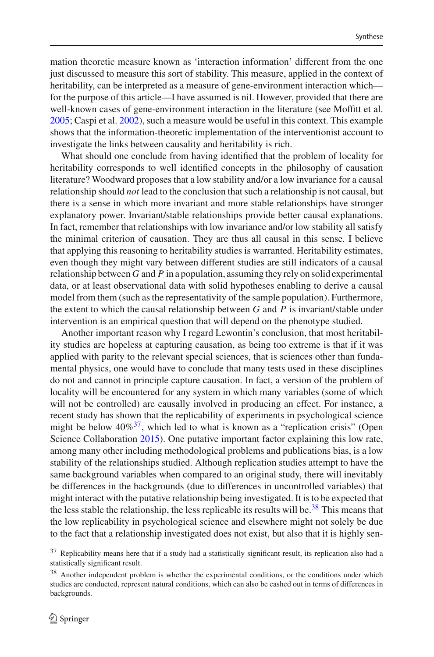mation theoretic measure known as 'interaction information' different from the one just discussed to measure this sort of stability. This measure, applied in the context of heritability, can be interpreted as a measure of gene-environment interaction which for the purpose of this article—I have assumed is nil. However, provided that there are well-known cases of gene-environment interaction in the literature (see Moffitt et al[.](#page-25-21) [2005;](#page-25-21) Caspi et al[.](#page-24-24) [2002\)](#page-24-24), such a measure would be useful in this context. This example shows that the information-theoretic implementation of the interventionist account to investigate the links between causality and heritability is rich.

What should one conclude from having identified that the problem of locality for heritability corresponds to well identified concepts in the philosophy of causation literature? Woodward proposes that a low stability and/or a low invariance for a causal relationship should *not* lead to the conclusion that such a relationship is not causal, but there is a sense in which more invariant and more stable relationships have stronger explanatory power. Invariant/stable relationships provide better causal explanations. In fact, remember that relationships with low invariance and/or low stability all satisfy the minimal criterion of causation. They are thus all causal in this sense. I believe that applying this reasoning to heritability studies is warranted. Heritability estimates, even though they might vary between different studies are still indicators of a causal relationship between *G* and *P* in a population, assuming they rely on solid experimental data, or at least observational data with solid hypotheses enabling to derive a causal model from them (such as the representativity of the sample population). Furthermore, the extent to which the causal relationship between *G* and *P* is invariant/stable under intervention is an empirical question that will depend on the phenotype studied.

Another important reason why I regard Lewontin's conclusion, that most heritability studies are hopeless at capturing causation, as being too extreme is that if it was applied with parity to the relevant special sciences, that is sciences other than fundamental physics, one would have to conclude that many tests used in these disciplines do not and cannot in principle capture causation. In fact, a version of the problem of locality will be encountered for any system in which many variables (some of which will not be controlled) are causally involved in producing an effect. For instance, a recent study has shown that the replicability of experiments in psychological science might be below  $40\%^{37}$  $40\%^{37}$  $40\%^{37}$ , which led to what is known as a "replication crisis" (Open Science Collaboration [2015\)](#page-25-24). One putative important factor explaining this low rate, among many other including methodological problems and publications bias, is a low stability of the relationships studied. Although replication studies attempt to have the same background variables when compared to an original study, there will inevitably be differences in the backgrounds (due to differences in uncontrolled variables) that might interact with the putative relationship being investigated. It is to be expected that the less stable the relationship, the less replicable its results will be.<sup>[38](#page-21-1)</sup> This means that the low replicability in psychological science and elsewhere might not solely be due to the fact that a relationship investigated does not exist, but also that it is highly sen-

<span id="page-21-0"></span><sup>&</sup>lt;sup>37</sup> Replicability means here that if a study had a statistically significant result, its replication also had a statistically significant result.

<span id="page-21-1"></span><sup>&</sup>lt;sup>38</sup> Another independent problem is whether the experimental conditions, or the conditions under which studies are conducted, represent natural conditions, which can also be cashed out in terms of differences in backgrounds.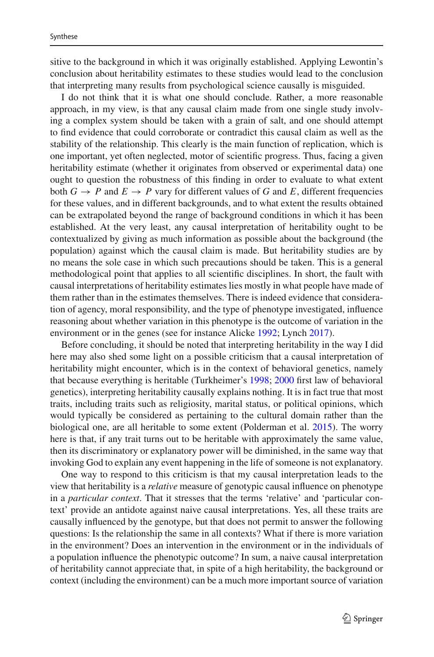sitive to the background in which it was originally established. Applying Lewontin's conclusion about heritability estimates to these studies would lead to the conclusion that interpreting many results from psychological science causally is misguided.

I do not think that it is what one should conclude. Rather, a more reasonable approach, in my view, is that any causal claim made from one single study involving a complex system should be taken with a grain of salt, and one should attempt to find evidence that could corroborate or contradict this causal claim as well as the stability of the relationship. This clearly is the main function of replication, which is one important, yet often neglected, motor of scientific progress. Thus, facing a given heritability estimate (whether it originates from observed or experimental data) one ought to question the robustness of this finding in order to evaluate to what extent both  $G \to P$  and  $E \to P$  vary for different values of *G* and *E*, different frequencies for these values, and in different backgrounds, and to what extent the results obtained can be extrapolated beyond the range of background conditions in which it has been established. At the very least, any causal interpretation of heritability ought to be contextualized by giving as much information as possible about the background (the population) against which the causal claim is made. But heritability studies are by no means the sole case in which such precautions should be taken. This is a general methodological point that applies to all scientific disciplines. In short, the fault with causal interpretations of heritability estimates lies mostly in what people have made of them rather than in the estimates themselves. There is indeed evidence that consideration of agency, moral responsibility, and the type of phenotype investigated, influence reasoning about whether variation in this phenotype is the outcome of variation in the environment or in the genes (see for instance Alick[e](#page-24-25) [1992;](#page-24-25) Lync[h](#page-24-26) [2017](#page-24-26)).

Before concluding, it should be noted that interpreting heritability in the way I did here may also shed some light on a possible criticism that a causal interpretation of heritability might encounter, which is in the context of behavioral genetics, namely that because everything is heritable (Turkheimer's [1998;](#page-25-25) [2000](#page-25-26) first law of behavioral genetics), interpreting heritability causally explains nothing. It is in fact true that most traits, including traits such as religiosity, marital status, or political opinions, which would typically be considered as pertaining to the cultural domain rather than the biological one, are all heritable to some extent (Polderman et al[.](#page-25-27) [2015\)](#page-25-27). The worry here is that, if any trait turns out to be heritable with approximately the same value, then its discriminatory or explanatory power will be diminished, in the same way that invoking God to explain any event happening in the life of someone is not explanatory.

One way to respond to this criticism is that my causal interpretation leads to the view that heritability is a *relative* measure of genotypic causal influence on phenotype in a *particular context*. That it stresses that the terms 'relative' and 'particular context' provide an antidote against naive causal interpretations. Yes, all these traits are causally influenced by the genotype, but that does not permit to answer the following questions: Is the relationship the same in all contexts? What if there is more variation in the environment? Does an intervention in the environment or in the individuals of a population influence the phenotypic outcome? In sum, a naive causal interpretation of heritability cannot appreciate that, in spite of a high heritability, the background or context (including the environment) can be a much more important source of variation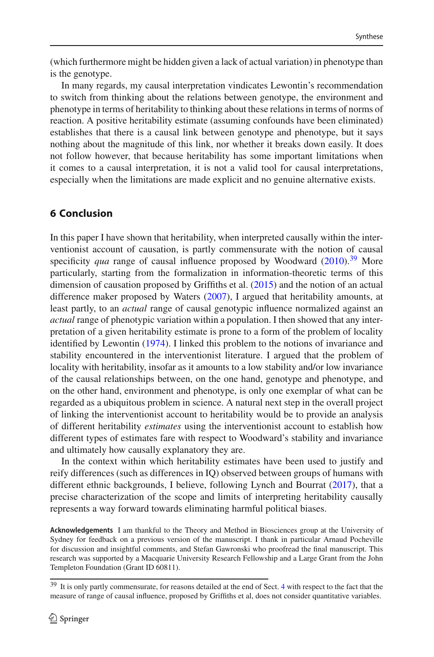(which furthermore might be hidden given a lack of actual variation) in phenotype than is the genotype.

In many regards, my causal interpretation vindicates Lewontin's recommendation to switch from thinking about the relations between genotype, the environment and phenotype in terms of heritability to thinking about these relations in terms of norms of reaction. A positive heritability estimate (assuming confounds have been eliminated) establishes that there is a causal link between genotype and phenotype, but it says nothing about the magnitude of this link, nor whether it breaks down easily. It does not follow however, that because heritability has some important limitations when it comes to a causal interpretation, it is not a valid tool for causal interpretations, especially when the limitations are made explicit and no genuine alternative exists.

## **6 Conclusion**

In this paper I have shown that heritability, when interpreted causally within the interventionist account of causation, is partly commensurate with the notion of causal specificity *qua* range of causal influence propose[d](#page-26-1) by Woodward  $(2010).^{39}$  $(2010).^{39}$  $(2010).^{39}$  $(2010).^{39}$  More particularly, starting from the formalization in information-theoretic terms of this dimension of causation proposed by Griffiths et al[.](#page-24-3) [\(2015](#page-24-3)) and the notion of an actual difference maker proposed by Water[s](#page-25-9) [\(2007\)](#page-25-9), I argued that heritability amounts, at least partly, to an *actual* range of causal genotypic influence normalized against an *actual* range of phenotypic variation within a population. I then showed that any interpretation of a given heritability estimate is prone to a form of the problem of locality identified by Lewonti[n](#page-24-0) [\(1974](#page-24-0)). I linked this problem to the notions of invariance and stability encountered in the interventionist literature. I argued that the problem of locality with heritability, insofar as it amounts to a low stability and/or low invariance of the causal relationships between, on the one hand, genotype and phenotype, and on the other hand, environment and phenotype, is only one exemplar of what can be regarded as a ubiquitous problem in science. A natural next step in the overall project of linking the interventionist account to heritability would be to provide an analysis of different heritability *estimates* using the interventionist account to establish how different types of estimates fare with respect to Woodward's stability and invariance and ultimately how causally explanatory they are.

In the context within which heritability estimates have been used to justify and reify differences (such as differences in IQ) observed between groups of humans with different ethnic backgrounds, I believe, following Lynch and Bourra[t](#page-24-1) [\(2017\)](#page-24-1), that a precise characterization of the scope and limits of interpreting heritability causally represents a way forward towards eliminating harmful political biases.

**Acknowledgements** I am thankful to the Theory and Method in Biosciences group at the University of Sydney for feedback on a previous version of the manuscript. I thank in particular Arnaud Pocheville for discussion and insightful comments, and Stefan Gawronski who proofread the final manuscript. This research was supported by a Macquarie University Research Fellowship and a Large Grant from the John Templeton Foundation (Grant ID 60811).

<span id="page-23-0"></span><sup>&</sup>lt;sup>39</sup> It is only partly commensurate, for reasons detailed at the end of Sect. [4](#page-10-0) with respect to the fact that the measure of range of causal influence, proposed by Griffiths et al, does not consider quantitative variables.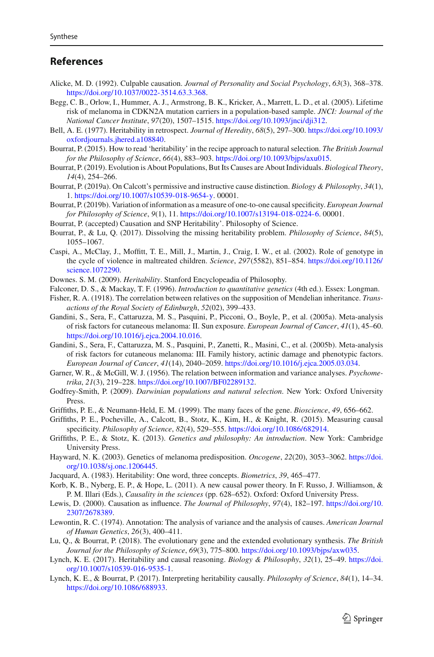#### **References**

- <span id="page-24-25"></span>Alicke, M. D. (1992). Culpable causation. *Journal of Personality and Social Psychology*, *63*(3), 368–378. [https://doi.org/10.1037/0022-3514.63.3.368.](https://doi.org/10.1037/0022-3514.63.3.368)
- <span id="page-24-6"></span>Begg, C. B., Orlow, I., Hummer, A. J., Armstrong, B. K., Kricker, A., Marrett, L. D., et al. (2005). Lifetime risk of melanoma in CDKN2A mutation carriers in a population-based sample. *JNCI: Journal of the National Cancer Institute*, *97*(20), 1507–1515. [https://doi.org/10.1093/jnci/dji312.](https://doi.org/10.1093/jnci/dji312)
- <span id="page-24-19"></span>Bell, A. E. (1977). Heritability in retrospect. *Journal of Heredity*, *68*(5), 297–300. [https://doi.org/10.1093/](https://doi.org/10.1093/oxfordjournals.jhered.a108840) [oxfordjournals.jhered.a108840.](https://doi.org/10.1093/oxfordjournals.jhered.a108840)
- <span id="page-24-14"></span>Bourrat, P. (2015). How to read 'heritability' in the recipe approach to natural selection. *The British Journal for the Philosophy of Science*, *66*(4), 883–903. [https://doi.org/10.1093/bjps/axu015.](https://doi.org/10.1093/bjps/axu015)
- <span id="page-24-23"></span>Bourrat, P. (2019). Evolution is About Populations, But Its Causes are About Individuals. *Biological Theory*, *14*(4), 254–266.
- <span id="page-24-10"></span>Bourrat, P. (2019a). On Calcott's permissive and instructive cause distinction. *Biology & Philosophy*, *34*(1), 1. [https://doi.org/10.1007/s10539-018-9654-y.](https://doi.org/10.1007/s10539-018-9654-y) 00001.
- <span id="page-24-11"></span>Bourrat, P. (2019b). Variation of information as a measure of one-to-one causal specificity. *European Journal for Philosophy of Science*, *9*(1), 11. [https://doi.org/10.1007/s13194-018-0224-6.](https://doi.org/10.1007/s13194-018-0224-6) 00001.
- Bourrat, P. (accepted) Causation and SNP Heritability'. Philosophy of Science.
- <span id="page-24-12"></span>Bourrat, P., & Lu, Q. (2017). Dissolving the missing heritability problem. *Philosophy of Science*, *84*(5), 1055–1067.
- <span id="page-24-24"></span>Caspi, A., McClay, J., Moffitt, T. E., Mill, J., Martin, J., Craig, I. W., et al. (2002). Role of genotype in the cycle of violence in maltreated children. *Science*, *297*(5582), 851–854. [https://doi.org/10.1126/](https://doi.org/10.1126/science.1072290) [science.1072290.](https://doi.org/10.1126/science.1072290)
- <span id="page-24-15"></span>Downes. S. M. (2009). *Heritability*. Stanford Encyclopeadia of Philosophy.
- <span id="page-24-13"></span>Falconer, D. S., & Mackay, T. F. (1996). *Introduction to quantitative genetics* (4th ed.). Essex: Longman.
- <span id="page-24-18"></span>Fisher, R. A. (1918). The correlation between relatives on the supposition of Mendelian inheritance. *Transactions of the Royal Society of Edinburgh*, *52*(02), 399–433.
- <span id="page-24-4"></span>Gandini, S., Sera, F., Cattaruzza, M. S., Pasquini, P., Picconi, O., Boyle, P., et al. (2005a). Meta-analysis of risk factors for cutaneous melanoma: II. Sun exposure. *European Journal of Cancer*, *41*(1), 45–60. [https://doi.org/10.1016/j.ejca.2004.10.016.](https://doi.org/10.1016/j.ejca.2004.10.016)
- <span id="page-24-7"></span>Gandini, S., Sera, F., Cattaruzza, M. S., Pasquini, P., Zanetti, R., Masini, C., et al. (2005b). Meta-analysis of risk factors for cutaneous melanoma: III. Family history, actinic damage and phenotypic factors. *European Journal of Cancer*, *41*(14), 2040–2059. [https://doi.org/10.1016/j.ejca.2005.03.034.](https://doi.org/10.1016/j.ejca.2005.03.034)
- <span id="page-24-9"></span>Garner, W. R., & McGill, W. J. (1956). The relation between information and variance analyses. *Psychometrika*, *21*(3), 219–228. [https://doi.org/10.1007/BF02289132.](https://doi.org/10.1007/BF02289132)
- <span id="page-24-16"></span>Godfrey-Smith, P. (2009). *Darwinian populations and natural selection*. New York: Oxford University Press.
- <span id="page-24-20"></span>Griffiths, P. E., & Neumann-Held, E. M. (1999). The many faces of the gene. *Bioscience*, *49*, 656–662.
- <span id="page-24-3"></span>Griffiths, P. E., Pocheville, A., Calcott, B., Stotz, K., Kim, H., & Knight, R. (2015). Measuring causal specificity. *Philosophy of Science*, *82*(4), 529–555. [https://doi.org/10.1086/682914.](https://doi.org/10.1086/682914)
- <span id="page-24-21"></span>Griffiths, P. E., & Stotz, K. (2013). *Genetics and philosophy: An introduction*. New York: Cambridge University Press.
- <span id="page-24-5"></span>Hayward, N. K. (2003). Genetics of melanoma predisposition. *Oncogene*, *22*(20), 3053–3062. [https://doi.](https://doi.org/10.1038/sj.onc.1206445) [org/10.1038/sj.onc.1206445.](https://doi.org/10.1038/sj.onc.1206445)
- <span id="page-24-17"></span>Jacquard, A. (1983). Heritability: One word, three concepts. *Biometrics*, *39*, 465–477.
- <span id="page-24-2"></span>Korb, K. B., Nyberg, E. P., & Hope, L. (2011). A new causal power theory. In F. Russo, J. Williamson, & P. M. Illari (Eds.), *Causality in the sciences* (pp. 628–652). Oxford: Oxford University Press.
- <span id="page-24-8"></span>Lewis, D. (2000). Causation as influence. *The Journal of Philosophy*, *97*(4), 182–197. [https://doi.org/10.](https://doi.org/10.2307/2678389) [2307/2678389.](https://doi.org/10.2307/2678389)
- <span id="page-24-0"></span>Lewontin, R. C. (1974). Annotation: The analysis of variance and the analysis of causes. *American Journal of Human Genetics*, *26*(3), 400–411.
- <span id="page-24-22"></span>Lu, Q., & Bourrat, P. (2018). The evolutionary gene and the extended evolutionary synthesis. *The British Journal for the Philosophy of Science*, *69*(3), 775–800. [https://doi.org/10.1093/bjps/axw035.](https://doi.org/10.1093/bjps/axw035)
- <span id="page-24-26"></span>Lynch, K. E. (2017). Heritability and causal reasoning. *Biology & Philosophy*, *32*(1), 25–49. [https://doi.](https://doi.org/10.1007/s10539-016-9535-1) [org/10.1007/s10539-016-9535-1.](https://doi.org/10.1007/s10539-016-9535-1)
- <span id="page-24-1"></span>Lynch, K. E., & Bourrat, P. (2017). Interpreting heritability causally. *Philosophy of Science*, *84*(1), 14–34. [https://doi.org/10.1086/688933.](https://doi.org/10.1086/688933)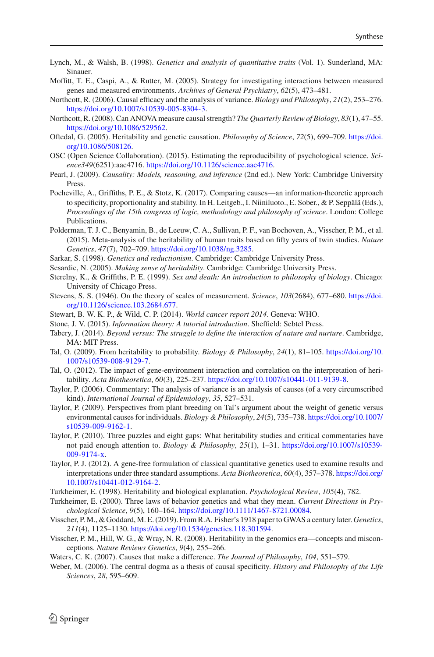- <span id="page-25-7"></span>Lynch, M., & Walsh, B. (1998). *Genetics and analysis of quantitative traits* (Vol. 1). Sunderland, MA: Sinauer.
- <span id="page-25-21"></span>Moffitt, T. E., Caspi, A., & Rutter, M. (2005). Strategy for investigating interactions between measured genes and measured environments. *Archives of General Psychiatry*, *62*(5), 473–481.
- <span id="page-25-12"></span>Northcott, R. (2006). Causal efficacy and the analysis of variance. *Biology and Philosophy*, *21*(2), 253–276. [https://doi.org/10.1007/s10539-005-8304-3.](https://doi.org/10.1007/s10539-005-8304-3)
- <span id="page-25-13"></span>Northcott, R. (2008). Can ANOVA measure causal strength? *The Quarterly Review of Biology*, *83*(1), 47–55. [https://doi.org/10.1086/529562.](https://doi.org/10.1086/529562)
- <span id="page-25-5"></span>Oftedal, G. (2005). Heritability and genetic causation. *Philosophy of Science*, *72*(5), 699–709. [https://doi.](https://doi.org/10.1086/508126) [org/10.1086/508126.](https://doi.org/10.1086/508126)
- <span id="page-25-24"></span>OSC (Open Science Collaboration). (2015). Estimating the reproducibility of psychological science. *Science349*(6251):aac4716. [https://doi.org/10.1126/science.aac4716.](https://doi.org/10.1126/science.aac4716)
- <span id="page-25-10"></span>Pearl, J. (2009). *Causality: Models, reasoning, and inference* (2nd ed.). New York: Cambridge University Press.
- <span id="page-25-8"></span>Pocheville, A., Griffiths, P. E., & Stotz, K. (2017). Comparing causes—an information-theoretic approach to specificity, proportionality and stability. In H. Leitgeb., I. Niiniluoto., E. Sober., & P. Seppälä (Eds.), *Proceedings of the 15th congress of logic, methodology and philosophy of science*. London: College Publications.
- <span id="page-25-27"></span>Polderman, T. J. C., Benyamin, B., de Leeuw, C. A., Sullivan, P. F., van Bochoven, A., Visscher, P. M., et al. (2015). Meta-analysis of the heritability of human traits based on fifty years of twin studies. *Nature Genetics*, *47*(7), 702–709. [https://doi.org/10.1038/ng.3285.](https://doi.org/10.1038/ng.3285)
- <span id="page-25-11"></span>Sarkar, S. (1998). *Genetics and reductionism*. Cambridge: Cambridge University Press.
- <span id="page-25-1"></span>Sesardic, N. (2005). *Making sense of heritability*. Cambridge: Cambridge University Press.
- <span id="page-25-23"></span>Sterelny, K., & Griffiths, P. E. (1999). *Sex and death: An introduction to philosophy of biology*. Chicago: University of Chicago Press.
- <span id="page-25-16"></span>Stevens, S. S. (1946). On the theory of scales of measurement. *Science*, *103*(2684), 677–680. [https://doi.](https://doi.org/10.1126/science.103.2684.677) [org/10.1126/science.103.2684.677.](https://doi.org/10.1126/science.103.2684.677)
- <span id="page-25-17"></span>Stewart, B. W. K. P., & Wild, C. P. (2014). *World cancer report 2014*. Geneva: WHO.
- <span id="page-25-15"></span>Stone, J. V. (2015). *Information theory: A tutorial introduction*. Sheffield: Sebtel Press.
- <span id="page-25-2"></span>Tabery, J. (2014). *Beyond versus: The struggle to define the interaction of nature and nurture*. Cambridge, MA: MIT Press.
- <span id="page-25-3"></span>Tal, O. (2009). From heritability to probability. *Biology & Philosophy*, *24*(1), 81–105. [https://doi.org/10.](https://doi.org/10.1007/s10539-008-9129-7) [1007/s10539-008-9129-7.](https://doi.org/10.1007/s10539-008-9129-7)
- <span id="page-25-20"></span>Tal, O. (2012). The impact of gene-environment interaction and correlation on the interpretation of heritability. *Acta Biotheoretica*, *60*(3), 225–237. [https://doi.org/10.1007/s10441-011-9139-8.](https://doi.org/10.1007/s10441-011-9139-8)
- <span id="page-25-0"></span>Taylor, P. (2006). Commentary: The analysis of variance is an analysis of causes (of a very circumscribed kind). *International Journal of Epidemiology*, *35*, 527–531.
- <span id="page-25-22"></span>Taylor, P. (2009). Perspectives from plant breeding on Tal's argument about the weight of genetic versus environmental causes for individuals. *Biology & Philosophy*, *24*(5), 735–738. [https://doi.org/10.1007/](https://doi.org/10.1007/s10539-009-9162-1) [s10539-009-9162-1.](https://doi.org/10.1007/s10539-009-9162-1)
- <span id="page-25-4"></span>Taylor, P. (2010). Three puzzles and eight gaps: What heritability studies and critical commentaries have not paid enough attention to. *Biology & Philosophy*, *25*(1), 1–31. [https://doi.org/10.1007/s10539-](https://doi.org/10.1007/s10539-009-9174-x) [009-9174-x.](https://doi.org/10.1007/s10539-009-9174-x)
- <span id="page-25-6"></span>Taylor, P. J. (2012). A gene-free formulation of classical quantitative genetics used to examine results and interpretations under three standard assumptions. *Acta Biotheoretica*, *60*(4), 357–378. [https://doi.org/](https://doi.org/10.1007/s10441-012-9164-2) [10.1007/s10441-012-9164-2.](https://doi.org/10.1007/s10441-012-9164-2)
- <span id="page-25-25"></span>Turkheimer, E. (1998). Heritability and biological explanation. *Psychological Review*, *105*(4), 782.
- <span id="page-25-26"></span>Turkheimer, E. (2000). Three laws of behavior genetics and what they mean. *Current Directions in Psychological Science*, *9*(5), 160–164. [https://doi.org/10.1111/1467-8721.00084.](https://doi.org/10.1111/1467-8721.00084)
- <span id="page-25-19"></span>Visscher, P. M., & Goddard, M. E. (2019). From R.A. Fisher's 1918 paper to GWAS a century later. *Genetics*, *211*(4), 1125–1130. [https://doi.org/10.1534/genetics.118.301594.](https://doi.org/10.1534/genetics.118.301594)
- <span id="page-25-18"></span>Visscher, P. M., Hill, W. G., & Wray, N. R. (2008). Heritability in the genomics era—concepts and misconceptions. *Nature Reviews Genetics*, *9*(4), 255–266.
- <span id="page-25-9"></span>Waters, C. K. (2007). Causes that make a difference. *The Journal of Philosophy*, *104*, 551–579.
- <span id="page-25-14"></span>Weber, M. (2006). The central dogma as a thesis of causal specificity. *History and Philosophy of the Life Sciences*, *28*, 595–609.